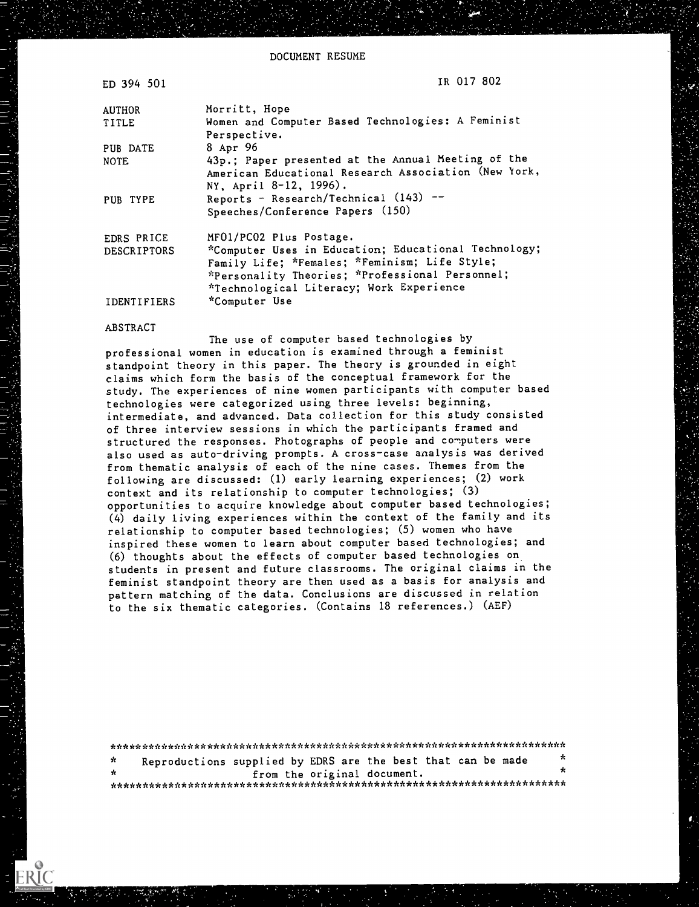DOCUMENT RESUME

| ED 394 501         | IR 017-802                                                                                                                                                                                           |
|--------------------|------------------------------------------------------------------------------------------------------------------------------------------------------------------------------------------------------|
| <b>AUTHOR</b>      | Morritt, Hope                                                                                                                                                                                        |
| TITLE              | Women and Computer Based Technologies: A Feminist<br>Perspective.                                                                                                                                    |
| PUB DATE           | 8 Apr 96                                                                                                                                                                                             |
| <b>NOTE</b>        | 43p.; Paper presented at the Annual Meeting of the<br>American Educational Research Association (New York,<br>NY, April 8-12, 1996).                                                                 |
| PUB TYPE           | Reports - Research/Technical $(143)$ --<br>Speeches/Conference Papers (150)                                                                                                                          |
| EDRS PRICE         | MF01/PC02 Plus Postage.                                                                                                                                                                              |
| <b>DESCRIPTORS</b> | *Computer Uses in Education; Educational Technology;<br>Family Life; *Females; *Feminism; Life Style;<br>*Personality Theories; *Professional Personnel;<br>*Technological Literacy; Work Experience |
| IDENTIFIERS        | *Computer Use                                                                                                                                                                                        |

#### ABSTRACT

The use of computer based technologies by professional women in education is examined through a feminist standpoint theory in this paper. The theory is grounded in eight claims which form the basis of the conceptual framework for the study. The experiences of nine women participants with computer based technologies were categorized using three levels: beginning, intermediate, and advanced. Data collection for this study consisted of three interview sessions in which the participants framed and structured the responses. Photographs of people and computers were also used as auto-driving prompts. A cross-case analysis was derived from thematic analysis of each of the nine cases. Themes from the following are discussed: (1) early learning experiences; (2) work context and its relationship to computer technologies; (3) opportunities to acquire knowledge about computer based technologies; (4) daily living experiences within the context of the family and its relationship to computer based technologies; (5) women who have inspired these women to learn about computer based technologies; and (6) thoughts about the effects of computer based technologies on students in present and future classrooms. The original claims in the feminist standpoint theory are then used as a basis for analysis and pattern matching of the data. Conclusions are discussed in relation to the six thematic categories. (Contains 18 references.) (AEF)

| *            | Reproductions supplied by EDRS are the best that can be made |                             |  |  | - 26 |
|--------------|--------------------------------------------------------------|-----------------------------|--|--|------|
| $\mathbf{r}$ |                                                              | from the original document. |  |  | ÷    |
|              |                                                              |                             |  |  |      |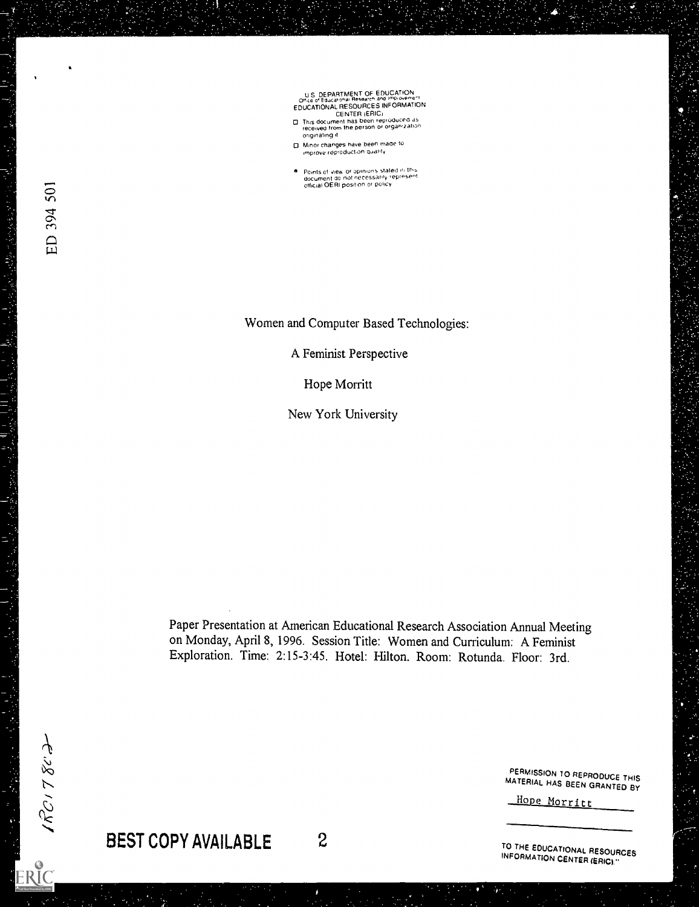U S DEPARTMENT OF EDUCATION<br>
Office of Educational Research and implovement<br>
EDUCATIONAL RESOURCES INFORMATION<br>
CENTER (ERIC<sub>)</sub><br>
CENTER (ERIC)<br>
received from the person or organization

- Originating it
- 0 Minor changes have been made to improve coproduction Quality
- Points of view or opinions staled in mis<br>document do not necessarily represent<br>official OERI position or policy

Women and Computer Based Technologies:

A Feminist Perspective

Hope Morritt

New York University

Paper Presentation at American Educational Research Association Annual Meeting on Monday, April 8, 1996. Session Title: Women and Curriculum: A Feminist Exploration. Time: 2:15-3:45. Hotel: Hilton. Room: Rotunda. Floor: 3rd.

PERMISSION 70 REPRODUCE THIS MATERIAL HAS BEEN GRANTED BY

Hope Morritt

BEST COPY AVAILABLE 2

TO THE EDUCATIONAL RESOURCES<br>INFORMATION CENTER (ERIC)."

 $\frac{1}{\sqrt{2}}$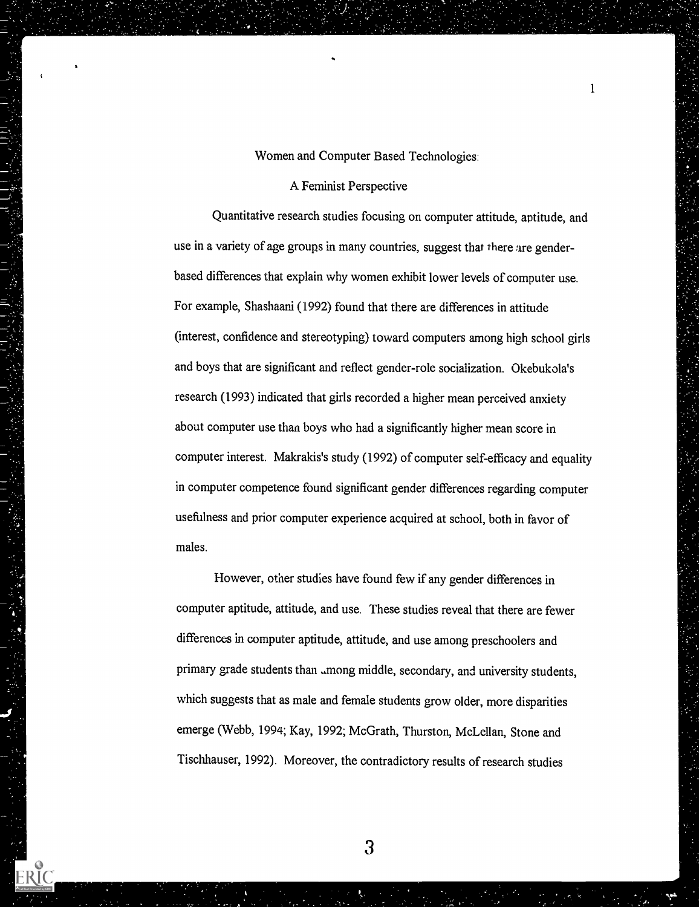Women and Computer Based Technologies:

 $\mathbf{1}$ 

# A Feminist Perspective

Quantitative research studies focusing on computer attitude, aptitude, and use in a variety of age groups in many countries, suggest that there are genderbased differences that explain why women exhibit lower levels of computer use. For example, Shashaani (1992) found that there are differences in attitude (interest, confidence and stereotyping) toward computers among high school girls and boys that are significant and reflect gender-role socialization. Okebukola's research (1993) indicated that girls recorded a higher mean perceived anxiety about computer use than boys who had a significantly higher mean score in computer interest. Makrakis's study (1992) of computer self-efficacy and equality in computer competence found significant gender differences regarding computer usefulness and prior computer experience acquired at school, both in favor of males.

However, other studies have found few if any gender differences in computer aptitude, attitude, and use. These studies reveal that there are fewer differences in computer aptitude, attitude, and use among preschoolers and primary grade students than among middle, secondary, and university students, which suggests that as male and female students grow older, more disparities emerge (Webb, 1994; Kay, 1992; McGrath, Thurston, McLellan, Stone and Tischhauser, 1992). Moreover, the contradictory results of research studies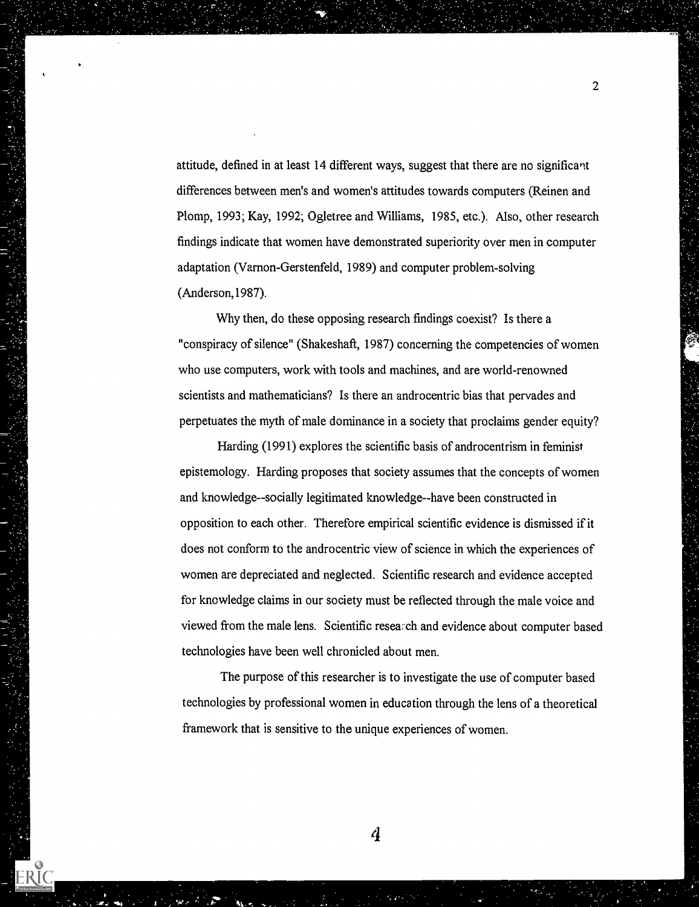attitude, defined in at least 14 different ways, suggest that there are no significant differences between men's and women's attitudes towards computers (Reinen and Plomp, 1993; Kay, 1992; Ogletree and Williams, 1985, etc.). Also, other research findings indicate that women have demonstrated superiority over men in computer adaptation (Varnon-Gerstenfeld, 1989) and computer problem-solving (Anderson,1987).

Why then, do these opposing research findings coexist? Is there a "conspiracy of silence" (Shakeshaft, 1987) concerning the competencies of women who use computers, work with tools and machines, and are world-renowned scientists and mathematicians? Is there an androcentric bias that pervades and perpetuates the myth of male dominance in a society that proclaims gender equity?

Harding (1991) explores the scientific basis of androcentrism in feminist epistemology. Harding proposes that society assumes that the concepts of women and knowledge--socially legitimated knowledge--have been constructed in opposition to each other. Therefore empirical scientific evidence is dismissed if it does not conform to the androcentric view of science in which the experiences of women are depreciated and neglected. Scientific research and evidence accepted for knowledge claims in our society must be reflected through the male voice and viewed from the male lens. Scientific resea: ch and evidence about computer based technologies have been well chronicled about men.

The purpose of this researcher is to investigate the use of computer based technologies by professional women in education through the lens of a theoretical framework that is sensitive to the unique experiences of women.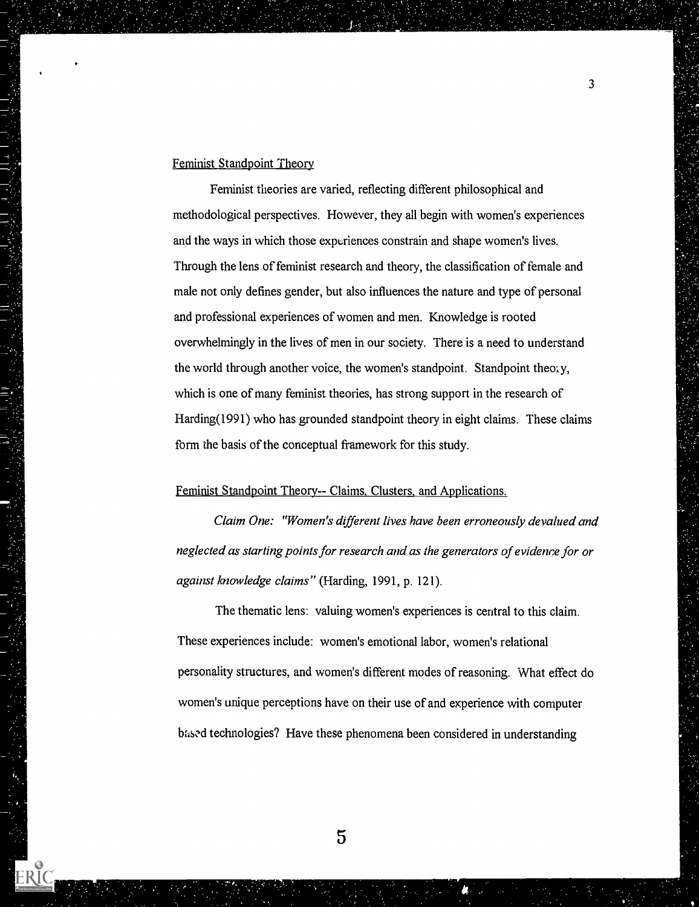# Feminist Standpoint Theory

Feminist theories are varied, reflecting different philosophical and methodological perspectives. However, they all begin with women's experiences and the ways in which those experiences constrain and shape women's lives. Through the lens of feminist research and theory, the classification of female and male not only defines gender, but also influences the nature and type of personal and professional experiences of women and men. Knowledge is rooted overwhelmingly in the lives of men in our society. There is a need to understand the world through another voice, the women's standpoint. Standpoint theory, which is one of many feminist theories, has strong support in the research of Harding(1991) who has grounded standpoint theory in eight claims. These claims form the basis of the conceptual framework for this study.

### Feminist Standpoint Theory-- Claims, Clusters, and Applications.

Claim One: "Women's different lives have been erroneously devalued and neglected as starting points for research and as the generators of evidence for or against knowledge claims" (Harding, 1991, p. 121).

The thematic lens: valuing women's experiences is central to this claim. These experiences include: women's emotional labor, women's relational personality structures, and women's different modes of reasoning. What effect do women's unique perceptions have on their use of and experience with computer based technologies? Have these phenomena been considered in understanding

3

ERIC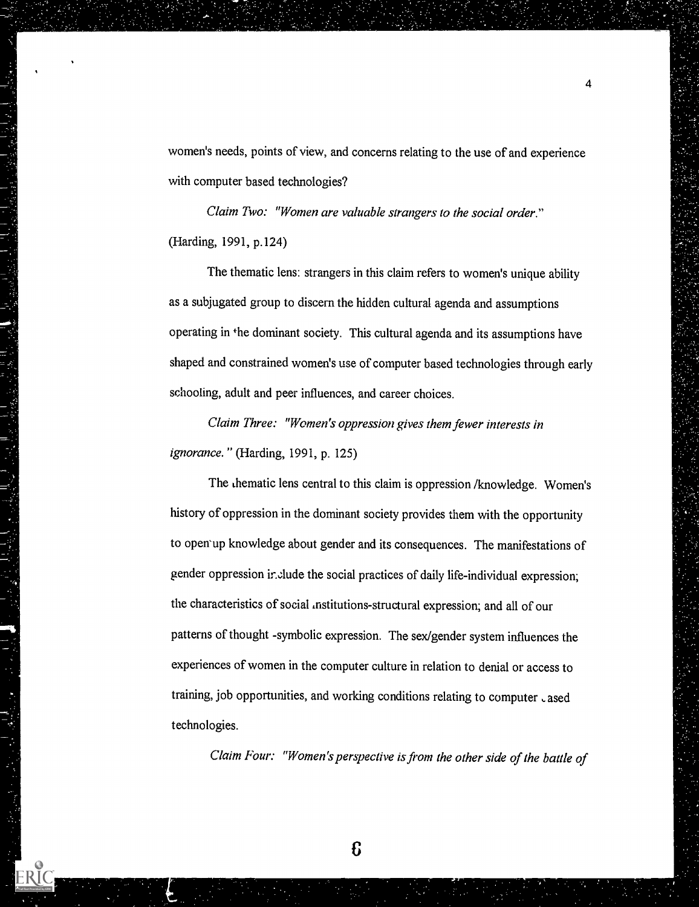women's needs, points of view, and concerns relating to the use of and experience with computer based technologies?

 $\overline{4}$ 

Claim Two: "Women are valuable strangers to the social order." (Harding, 1991, p.124)

The thematic lens: strangers in this claim refers to women's unique ability as a subjugated group to discern the hidden cultural agenda and assumptions operating in the dominant society. This cultural agenda and its assumptions have shaped and constrained women's use of computer based technologies through early schooling, adult and peer influences, and career choices.

Claim Three: "Women's oppression gives them fewer interests in ignorance." (Harding, 1991, p. 125)

The thematic lens central to this claim is oppression /knowledge. Women's history of oppression in the dominant society provides them with the opportunity to open'up knowledge about gender and its consequences. The manifestations of gender oppression include the social practices of daily life-individual expression; the characteristics of social institutions-structural expression; and all of our patterns of thought -symbolic expression. The sex/gender system influences the experiences of women in the computer culture in relation to denial or access to training, job opportunities, and working conditions relating to computer cased technologies.

Claim Four: "Women's perspective is from the other side of the battle of

£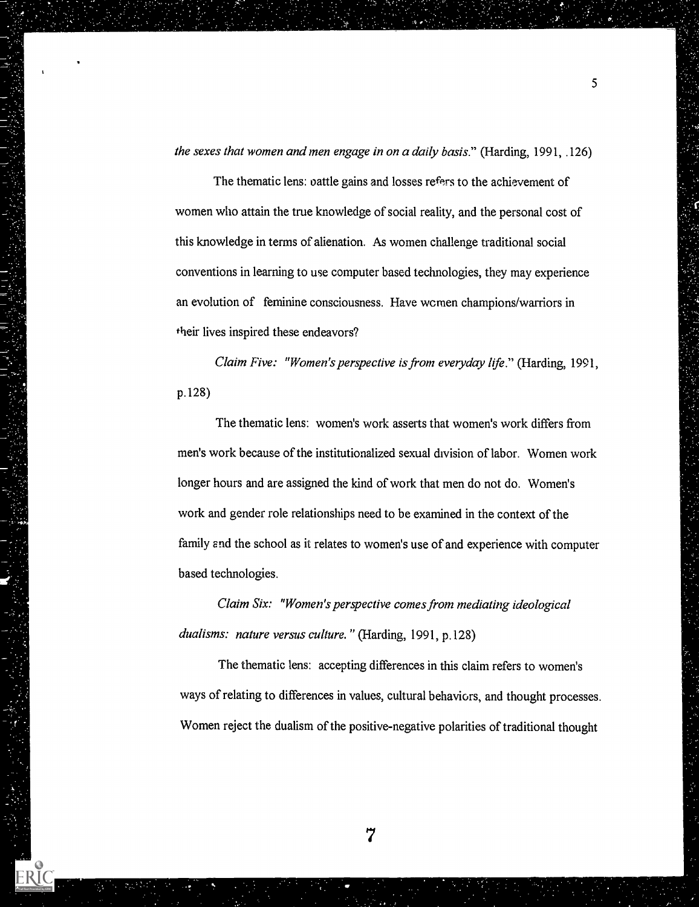the sexes that women and men engage in on a daily basis." (Harding, 1991, .126)

The thematic lens: oattle gains and losses refers to the achievement of women who attain the true knowledge of social reality, and the personal cost of this knowledge in terms of alienation. As women challenge traditional social conventions in learning to use computer based technologies, they may experience an evolution of feminine consciousness. Have wcmen champions/warriors in their lives inspired these endeavors?

Claim Five: "Women's perspective is from everyday life." (Harding, 1991, p.128)

The thematic lens: women's work asserts that women's work differs from men's work because of the institutionalized sexual division of labor. Women work longer hours and are assigned the kind of work that men do not do. Women's work and gender role relationships need to be examined in the context of the family and the school as it relates to women's use of and experience with computer based technologies.

Claim Six: "Women's perspective comes from mediating ideological dualisms: nature versus culture." (Harding, 1991, p.128)

The thematic lens: accepting differences in this claim refers to women's ways of relating to differences in values, cultural behaviors, and thought processes. Women reject the dualism of the positive-negative polarities of traditional thought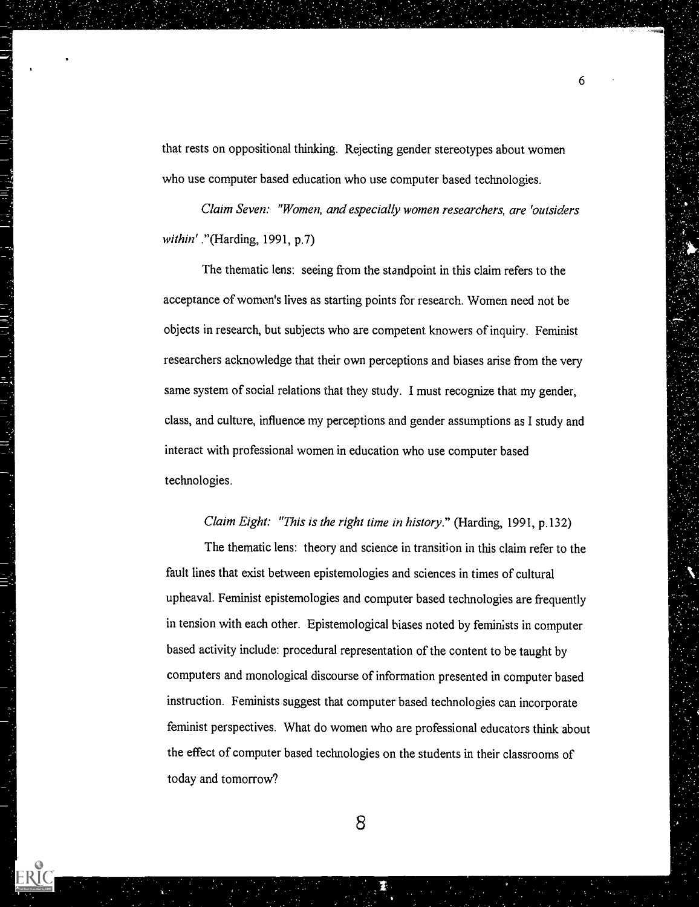that rests on oppositional thinking. Rejecting gender stereotypes about women who use computer based education who use computer based technologies.

 $6 \rightarrow$ 

Claim Seven: "Women, and especially women researchers, are 'outsiders within' ."(Harding, 1991, p.7)

The thematic lens: seeing from the standpoint in this claim refers to the acceptance of women's lives as starting points for research. Women need not be objects in research, but subjects who are competent knowers of inquiry. Feminist researchers acknowledge that their own perceptions and biases arise from the very same system of social relations that they study. I must recognize that my gender, class, and culture, influence my perceptions and gender assumptions as I study and interact with professional women in education who use computer based technologies.

## Claim Eight: "This is the right time in history." (Harding, 1991, p.132)

The thematic lens: theory and science in transition in this claim refer to the fault lines that exist between epistemologies and sciences in times of cultural upheaval. Feminist epistemologies and computer based technologies are frequently in tension with each other. Epistemological biases noted by feminists in computer based activity include: procedural representation of the content to be taught by computers and monological discourse of information presented in computer based instruction. Feminists suggest that computer based technologies can incorporate feminist perspectives. What do women who are professional educators think about the effect of computer based technologies on the students in their classrooms of today and tomorrow?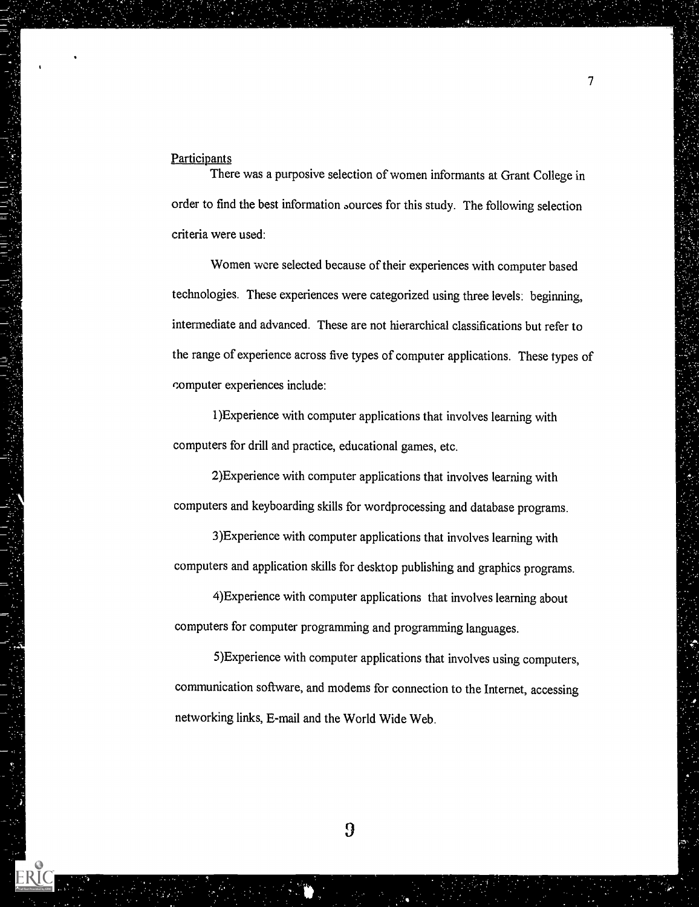#### **Participants**

There was a purposive selection of women informants at Grant College in order to find the best information aources for this study. The following selection criteria were used:

Women were selected because of their experiences with computer based technologies. These experiences were categorized using three levels: beginning, intermediate and advanced. These are not hierarchical classifications but refer to the range of experience across five types of computer applications. These types of computer experiences include:

1)Experience with computer applications that involves learning with computers for drill and practice, educational games, etc.

2)Experience with computer applications that involves learning with computers and keyboarding skills for wordprocessing and database programs.

3)Experience with computer applications that involves learning with computers and application skills for desktop publishing and graphics programs.

4)Experience with computer applications that involves learning about computers for computer programming and programming languages.

5)Experience with computer applications that involves using computers, communication software, and modems for connection to the Internet, accessing networking links, E-mail and the World Wide Web.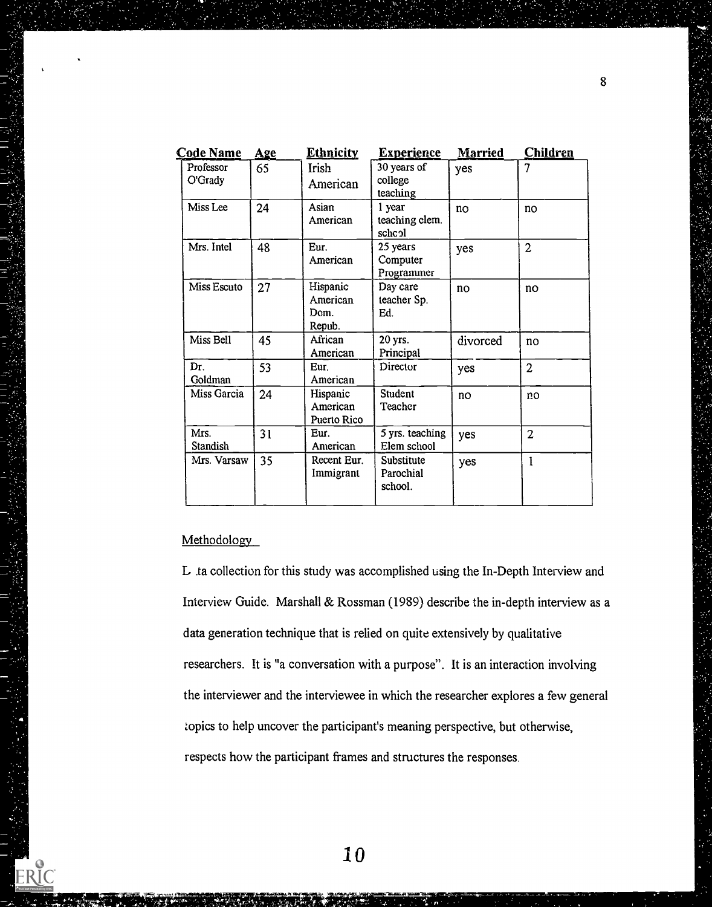| 7<br>30 years of<br>Professor<br>65<br><b>Irish</b><br>yes<br>O'Grady<br>college<br>American<br>teaching<br>Asian<br>Miss Lee<br>1 year<br>24<br>$\overline{10}$<br>no<br>teaching clem.<br>American<br>schcol<br>Mrs. Intel<br>48<br>$\overline{2}$<br>Eur.<br>25 years<br>yes<br>American<br>Computer<br>Programmer<br>Miss Escuto<br>Hispanic<br>27<br>Day care<br>no<br>no<br>American<br>teacher Sp.<br>Ed.<br>Dom.<br>Repub.<br>Miss Bell<br>African<br>45<br>20 yrs.<br>divorced<br>no<br>Principal<br>American<br>53<br>Dr.<br>Eur.<br>Director<br>$\overline{2}$<br>yes<br>Goldman<br>American<br>Miss Garcia<br>Student<br>24<br>Hispanic<br>no<br>no<br>American<br>Teacher<br>Puerto Rico<br>Mrs.<br>5 yrs. teaching<br>31<br>Eur.<br>$\overline{2}$<br>yes<br>Elem school<br>Standish<br>American | <u>Code Name</u> | <b>Age</b> | <b>Ethnicity</b> | <b>Experience</b> | <b>Married</b> | <b>Children</b> |
|----------------------------------------------------------------------------------------------------------------------------------------------------------------------------------------------------------------------------------------------------------------------------------------------------------------------------------------------------------------------------------------------------------------------------------------------------------------------------------------------------------------------------------------------------------------------------------------------------------------------------------------------------------------------------------------------------------------------------------------------------------------------------------------------------------------|------------------|------------|------------------|-------------------|----------------|-----------------|
|                                                                                                                                                                                                                                                                                                                                                                                                                                                                                                                                                                                                                                                                                                                                                                                                                |                  |            |                  |                   |                |                 |
|                                                                                                                                                                                                                                                                                                                                                                                                                                                                                                                                                                                                                                                                                                                                                                                                                |                  |            |                  |                   |                |                 |
|                                                                                                                                                                                                                                                                                                                                                                                                                                                                                                                                                                                                                                                                                                                                                                                                                |                  |            |                  |                   |                |                 |
|                                                                                                                                                                                                                                                                                                                                                                                                                                                                                                                                                                                                                                                                                                                                                                                                                |                  |            |                  |                   |                |                 |
|                                                                                                                                                                                                                                                                                                                                                                                                                                                                                                                                                                                                                                                                                                                                                                                                                |                  |            |                  |                   |                |                 |
|                                                                                                                                                                                                                                                                                                                                                                                                                                                                                                                                                                                                                                                                                                                                                                                                                |                  |            |                  |                   |                |                 |
|                                                                                                                                                                                                                                                                                                                                                                                                                                                                                                                                                                                                                                                                                                                                                                                                                |                  |            |                  |                   |                |                 |
|                                                                                                                                                                                                                                                                                                                                                                                                                                                                                                                                                                                                                                                                                                                                                                                                                |                  |            |                  |                   |                |                 |
| 35<br>Mrs. Varsaw<br>Recent Eur.<br>Substitute<br>$\mathbf{1}$<br>yes<br>Immigrant<br>Parochial<br>school.                                                                                                                                                                                                                                                                                                                                                                                                                                                                                                                                                                                                                                                                                                     |                  |            |                  |                   |                |                 |

# Methodology

ERIC

L ta collection for this study was accomplished using the In-Depth Interview and Interview Guide. Marshall & Rossman (1989) describe the in-depth interview as a data generation technique that is relied on quite extensively by qualitative researchers. It is "a conversation with a purpose". It is an interaction involving the interviewer and the interviewee in which the researcher explores a few general topics to help uncover the participant's meaning perspective, but otherwise, respects how the participant frames and structures the responses.

þ,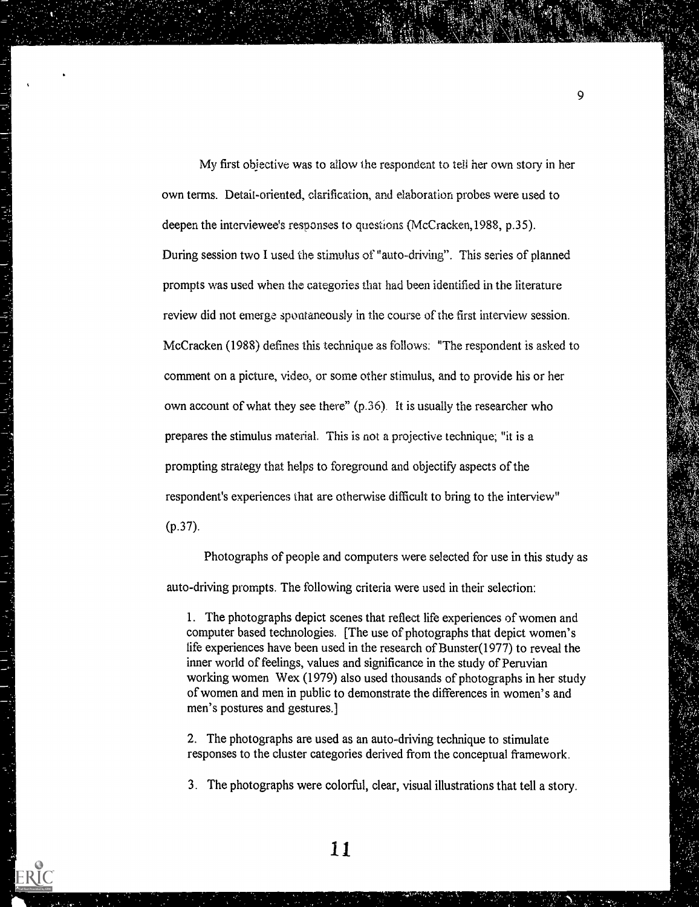My first objective was to allow the respondent to tell her own story in her own terms. Detait-oriented, clarification, and elaboration probes were used to deepen the interviewee's responses to questions (McCracken, 1988, p.35). During session two I used the stimulus of "auto-driving". This series of planned prompts was used when the categories that had been identified in the literature review did not emerge spontaneously in the course of the first interview session. McCracken (1988) defines this technique as follows: "The respondent is asked to comment on a picture, video, or some other stimulus, and to provide his or her own account of what they see there" (p.36). It is usually the researcher who prepares the stimulus material. This is not a projective technique; "it is a prompting strategy that helps to foreground and objectify aspects of the respondent's experiences that are otherwise difficult to bring to the interview"  $(p.37)$ .

Q.

Photographs of people and computers were selected for use in this study as auto-driving prompts. The following criteria were used in their selection:

1. The photographs depict scenes that reflect life experiences of women and computer based technologies. [The use of photographs that depict women's life experiences have been used in the research of Bunster(1977) to reveal the inner world of feelings, values and significance in the study of Peruvian working women Wex (1979) also used thousands of photographs in her study of women and men in public to demonstrate the differences in women's and men's postures and gestures.]

2. The photographs are used as an auto-driving technique to stimulate responses to the cluster categories derived from the conceptual framework.

3. The photographs were colorful, clear, visual illustrations that tell a story.

11

ERĬC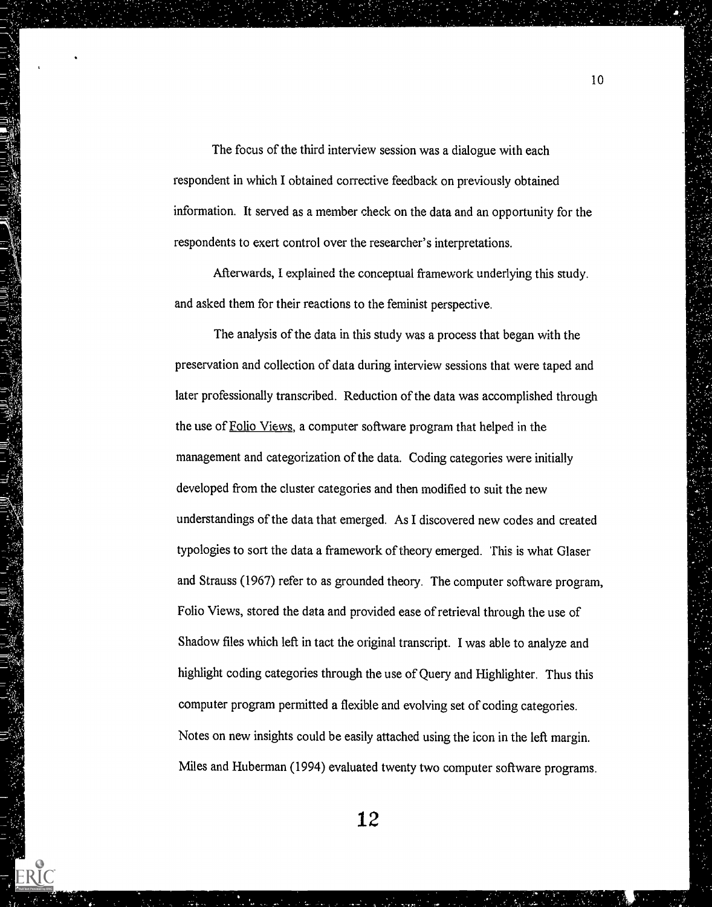The focus of the third interview session was a dialogue with each respondent in which I obtained corrective feedback on previously obtained information. It served as a member check on the data and an opportunity for the respondents to exert control over the researcher's interpretations.

Afterwards, I explained the conceptual framework underlying this study. and asked them for their reactions to the feminist perspective.

The analysis of the data in this study was a process that began with the preservation and collection of data during interview sessions that were taped and later professionally transcribed. Reduction of the data was accomplished through the use of Folio Views, a computer software program that helped in the management and categorization of the data. Coding categories were initially developed from the cluster categories and then modified to suit the new understandings of the data that emerged. As I discovered new codes and created typologies to sort the data a framework of theory emerged. This is what Glaser and Strauss (1967) refer to as grounded theory. The computer software program, Folio Views, stored the data and provided ease of retrieval through the use of Shadow files which left in tact the original transcript. I was able to analyze and highlight coding categories through the use of Query and Highlighter. Thus this computer program permitted a flexible and evolving set of coding categories. Notes on new insights could be easily attached using the icon in the left margin. Miles and Huberman (1994) evaluated twenty two computer software programs.

E<br>L

12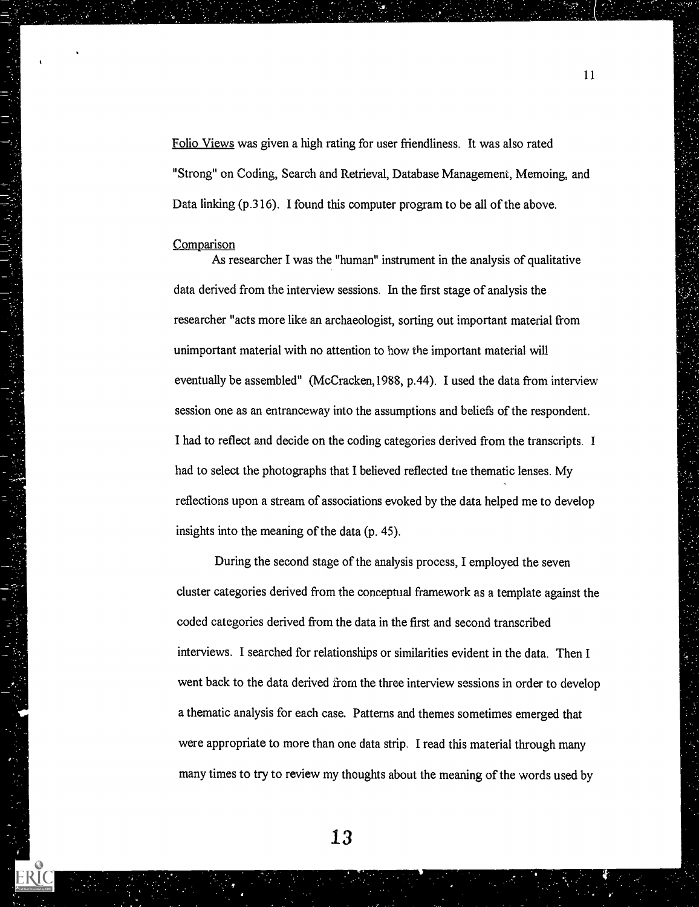Folio Views was given a high rating for user friendliness. It was also rated "Strong" on Coding, Search and Retrieval, Database Management, Memoing, and Data linking (p.316). I found this computer program to be all of the above.

#### Comparison

As researcher I was the "human" instrument in the analysis of qualitative data derived from the interview sessions. In the first stage of analysis the researcher "acts more like an archaeologist, sorting out important material from unimportant material with no attention to how the important material will eventually be assembled" (McCracken,1988, p.44). I used the data from interview session one as an entranceway into the assumptions and beliefs of the respondent. I had to reflect and decide on the coding categories derived from the transcripts. I had to select the photographs that I believed reflected tne thematic lenses. My reflections upon a stream of associations evoked by the data helped me to develop insights into the meaning of the data (p. 45).

During the second stage of the analysis process, I employed the seven cluster categories derived from the conceptual framework as a template against the coded categories derived from the data in the first and second transcribed interviews. I searched for relationships or similarities evident in the data. Then I went back to the data derived from the three interview sessions in order to develop a thematic analysis for each case. Patterns and themes sometimes emerged that were appropriate to more than one data strip. I read this material through many many times to try to review my thoughts about the meaning of the words used by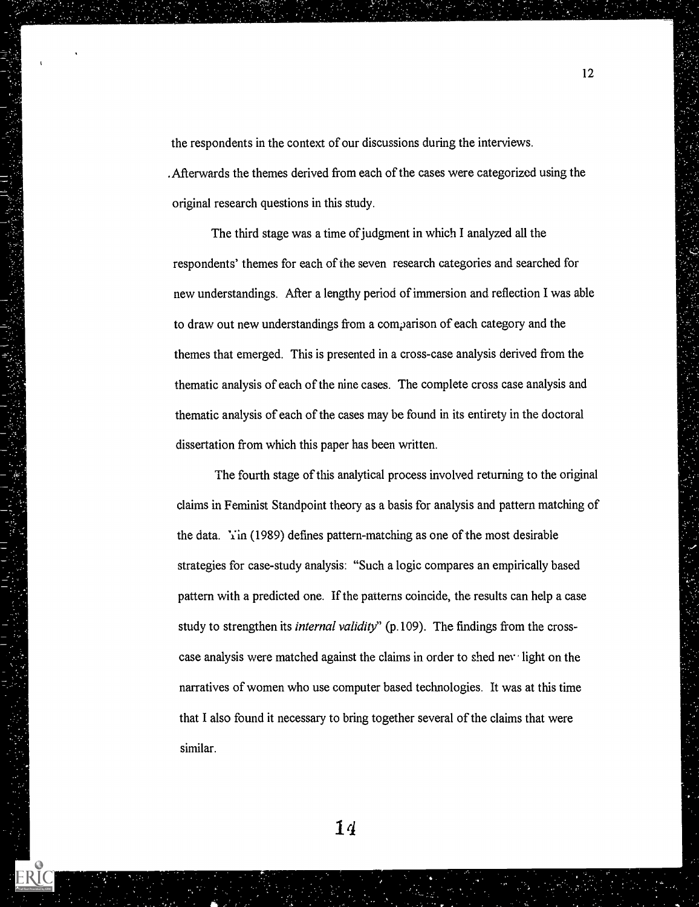the respondents in the context of our discussions during the interviews. .Afterwards the themes derived from each of the cases were categorized using the original research questions in this study.

The third stage was a time of judgment in which I analyzed all the respondents' themes for each of the seven research categories and searched for new understandings. After a lengthy period of immersion and reflection I was able to draw out new understandings from a comparison of each category and the themes that emerged. This is presented in a cross-case analysis derived from the thematic analysis of each of the nine cases. The complete cross case analysis and thematic analysis of each of the cases may be found in its entirety in the doctoral dissertation from which this paper has been written.

The fourth stage of this analytical process involved returning to the original claims in Feminist Standpoint theory as a basis for analysis and pattern matching of the data.  $Y$ in (1989) defines pattern-matching as one of the most desirable strategies for case-study analysis: "Such a logic compares an empirically based pattern with a predicted one. If the patterns coincide, the results can help a case study to strengthen its *internal validity*" (p.109). The findings from the crosscase analysis were matched against the claims in order to shed nev light on the narratives of women who use computer based technologies. It was at this time that I also found it necessary to bring together several of the claims that were similar.

14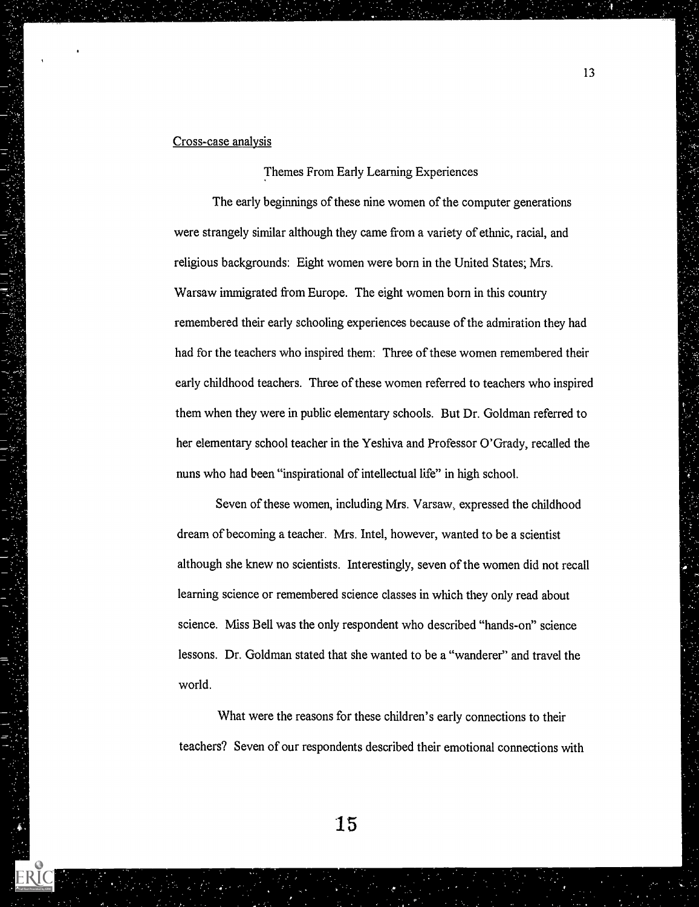## Cross-case analysis

Themes From Early Learning Experiences

The early beginnings of these nine women of the computer generations were strangely similar although they came from a variety of ethnic, racial, and religious backgrounds: Eight women were born in the United States; Mrs. Warsaw immigrated from Europe. The eight women born in this country remembered their early schooling experiences because of the admiration they had had for the teachers who inspired them: Three of these women remembered their early childhood teachers. Three of these women referred to teachers who inspired them when they were in public elementary schools. But Dr. Goldman referred to her elementary school teacher in the Yeshiva and Professor O'Grady, recalled the nuns who had been "inspirational of intellectual life" in high school.

Seven of these women, including Mrs. Varsaw, expressed the childhood dream of becoming a teacher. Mrs. Intel, however, wanted to be a scientist although she knew no scientists. Interestingly, seven of the women did not recall learning science or remembered science classes in which they only read about science. Miss Bell was the only respondent who described "hands-on" science lessons. Dr. Goldman stated that she wanted to be a "wanderer" and travel the world.

What were the reasons for these children's early connections to their teachers? Seven of our respondents described their emotional connections with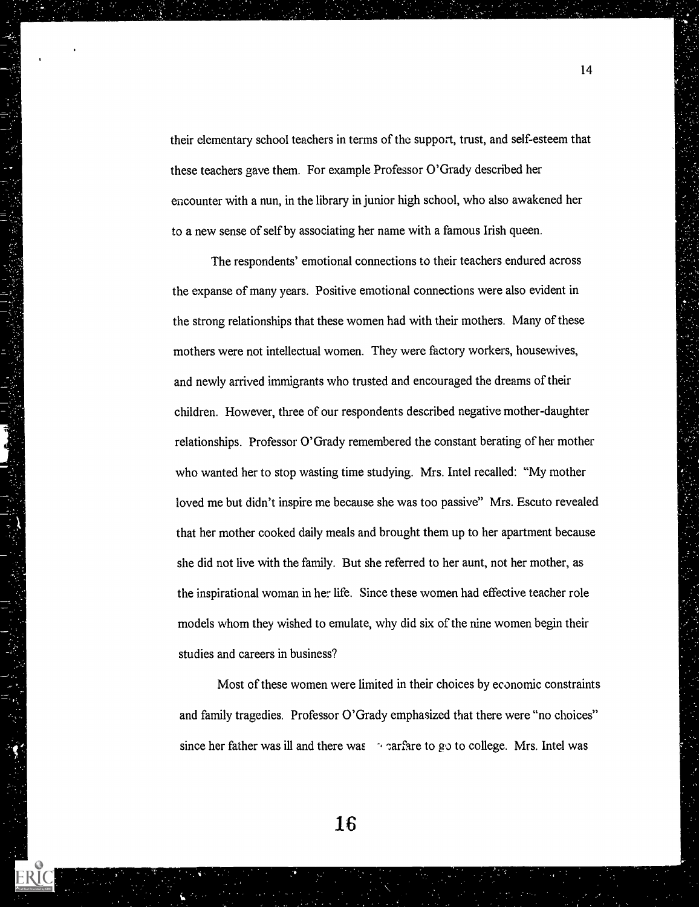their elementary school teachers in terms of the support, trust, and self-esteem that these teachers gave them. For example Professor O'Grady described her encounter with a nun, in the library in junior high school, who also awakened her to a new sense of self by associating her name with a famous Irish queen.

The respondents' emotional connections to their teachers endured across the expanse of many years. Positive emotional connections were also evident in the strong relationships that these women had with their mothers. Many of these mothers were not intellectual women. They were factory workers, housewives, and newly arrived immigrants who trusted and encouraged the dreams of their children. However, three of our respondents described negative mother-daughter relationships. Professor O'Grady remembered the constant berating of her mother who wanted her to stop wasting time studying. Mrs. Intel recalled: "My mother loved me but didn't inspire me because she was too passive" Mrs. Escuto revealed that her mother cooked daily meals and brought them up to her apartment because she did not live with the family. But she referred to her aunt, not her mother, as the inspirational woman in her life. Since these women had effective teacher role models whom they wished to emulate, why did six of the nine women begin their studies and careers in business?

Most of these women were limited in their choices by economic constraints and family tragedies. Professor O'Grady emphasized that there were "no choices" since her father was ill and there was  $\rightarrow$  carfare to go to college. Mrs. Intel was

14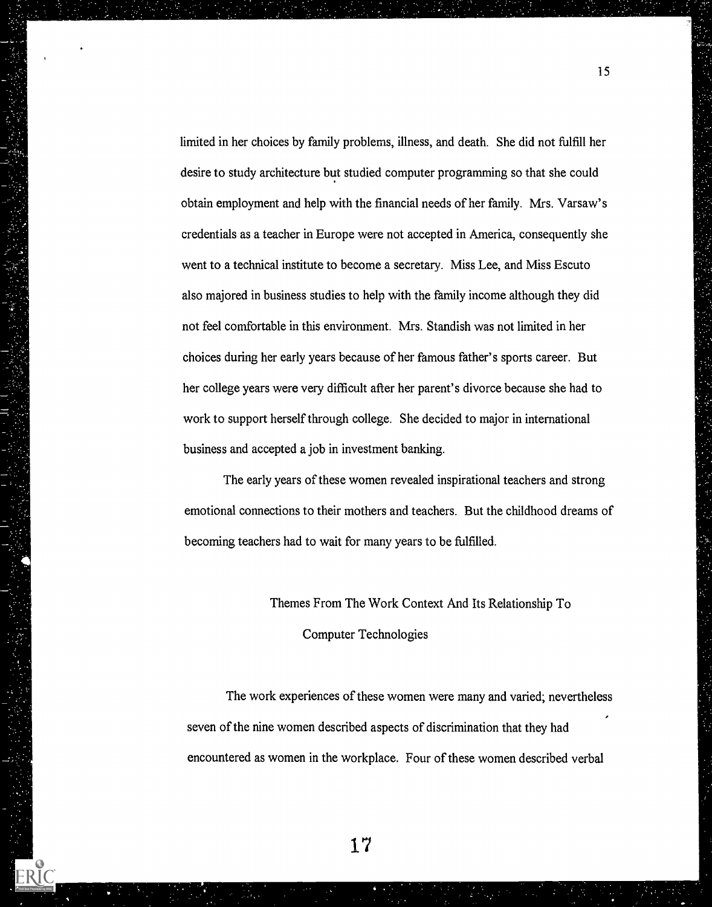limited in her choices by family problems, illness, and death. She did not fulfill her desire to study architecture but studied computer programming so that she could obtain employment and help with the financial needs of her family. Mrs. Varsaw's credentials as a teacher in Europe were not accepted in America, consequently she went to a technical institute to become a secretary. Miss Lee, and Miss Escuto also majored in business studies to help with the family income although they did not feel comfortable in this environment. Mrs. Standish was not limited in her choices during her early years because of her famous father's sports career. But her college years were very difficult after her parent's divorce because she had to work to support herself through college. She decided to major in international business and accepted a job in investment banking.

The early years of these women revealed inspirational teachers and strong emotional connections to their mothers and teachers. But the childhood dreams of becoming teachers had to wait for many years to be fulfilled.

Themes From The Work Context And Its Relationship To

Computer Technologies

The work experiences of these women were many and varied; nevertheless seven of the nine women described aspects of discrimination that they had encountered as women in the workplace. Four of these women described verbal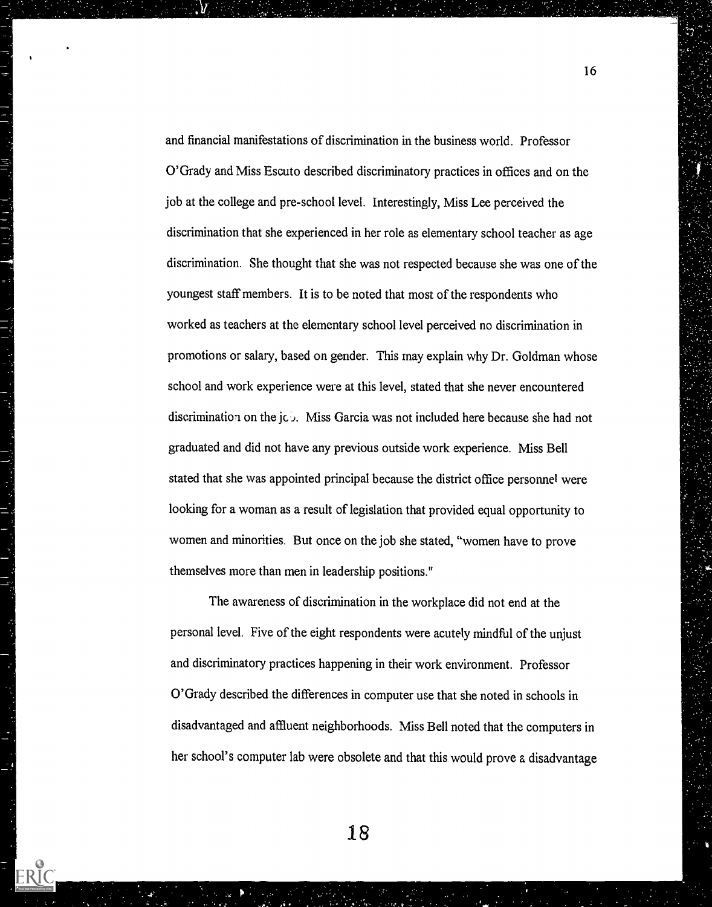and financial manifestations of discrimination in the business world. Professor O'Grady and Miss Escuto described discriminatory practices in offices and on the job at the college and pre-school level. Interestingly, Miss Lee perceived the discrimination that she experienced in her role as elementary school teacher as age discrimination. She thought that she was not respected because she was one of the youngest staff members. It is to be noted that most of the respondents who worked as teachers at the elementary school level perceived no discrimination in promotions or salary, based on gender. This may explain why Dr. Goldman whose school and work experience were at this level, stated that she never encountered discrimination on the jcb. Miss Garcia was not included here because she had not graduated and did not have any previous outside work experience. Miss Bell stated that she was appointed principal because the district office personnel were looking for a woman as a result of legislation that provided equal opportunity to women and minorities. But once on the job she stated, "women have to prove themselves more than men in leadership positions."

16

The awareness of discrimination in the workplace did not end at the personal level. Five of the eight respondents were acutely mindful of the unjust and discriminatory practices happening in their work environment. Professor O'Grady described the differences in computer use that she noted in schools in disadvantaged and affluent neighborhoods. Miss Bell noted that the computers in her school's computer lab were obsolete and that this would prove a disadvantage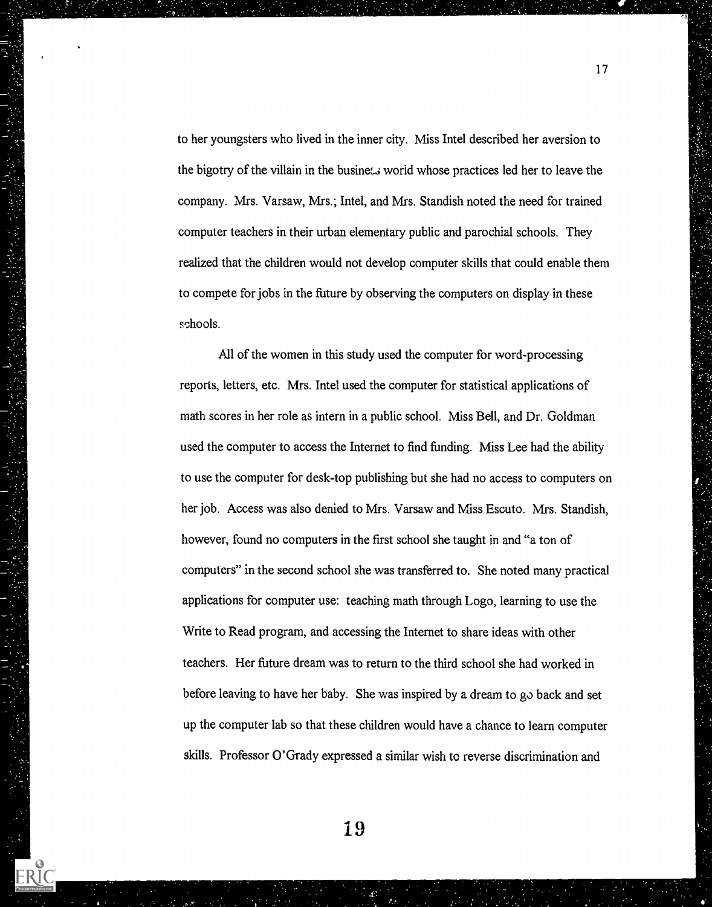to her youngsters who lived in the inner city. Miss Intel described her aversion to the bigotry of the villain in the business world whose practices led her to leave the company. Mrs. Varsaw, Mrs.; Intel, and Mrs. Standish noted the need for trained computer teachers in their urban elementary public and parochial schools. They realized that the children would not develop computer skills that could enable them to compete for jobs in the future by observing the computers on display in these schools.

All of the women in this study used the computer for word-processing reports, letters, etc. Mrs. Intel used the computer for statistical applications of math scores in her role as intern in a public school. Miss Bell, and Dr. Goldman used the computer to access the Internet to find funding. Miss Lee had the ability to use the computer for desk-top publishing but she had no access to computers on her job. Access was also denied to Mrs. Varsaw and Miss Escuto. Mrs. Standish, however, found no computers in the first school she taught in and "a ton of computers" in the second school she was transferred to. She noted many practical applications for computer use: teaching math through Logo, learning to use the Write to Read program, and accessing the Internet to share ideas with other teachers. Her future dream was to return to the third school she had worked in before leaving to have her baby. She was inspired by a dream to go back and set up the computer lab so that these children would have a chance to learn computer skills. Professor O'Grady expressed a similar wish te reverse discrimination and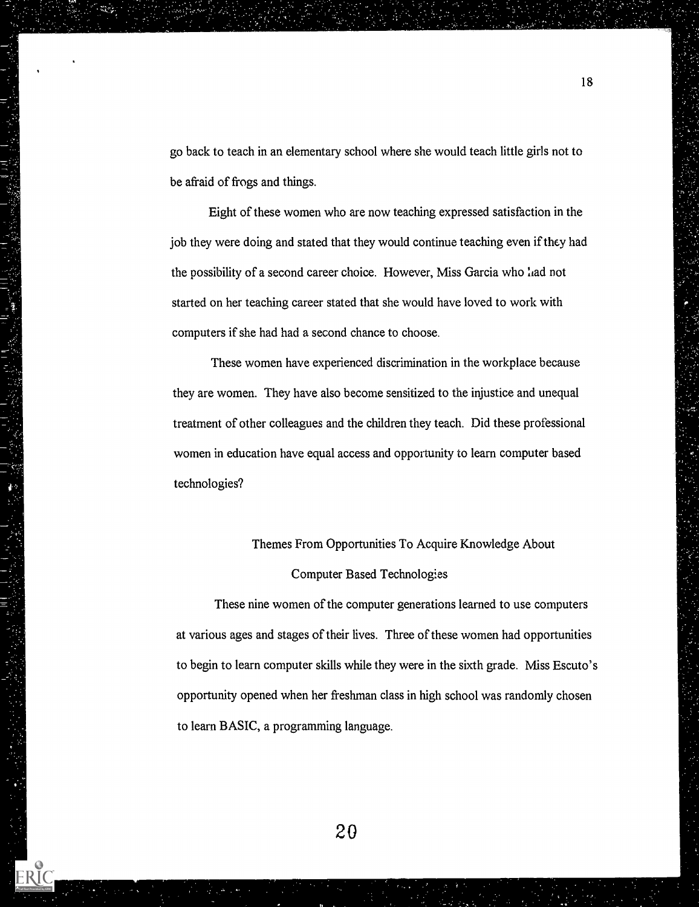go back to teach in an elementary school where she would teach little girls not to be afraid of frogs and things.

Eight of these women who are now teaching expressed satisfaction in the job they were doing and stated that they would continue teaching even if they had the possibility of a second career choice. However, Miss Garcia who lad not started on her teaching career stated that she would have loved to work with computers if she had had a second chance to choose.

These women have experienced discrimination in the workplace because they are women. They have also become sensitized to the injustice and unequal treatment of other colleagues and the children they teach. Did these professional women in education have equal access and opportunity to learn computer based technologies?

# Themes From Opportunities To Acquire Knowledge About

# Computer Based Technologies

These nine women of the computer generations learned to use computers at various ages and stages of their lives. Three of these women had opportunities to begin to learn computer skills while they were in the sixth grade. Miss Escuto's opportunity opened when her freshman class in high school was randomly chosen to learn BASIC, a programming language.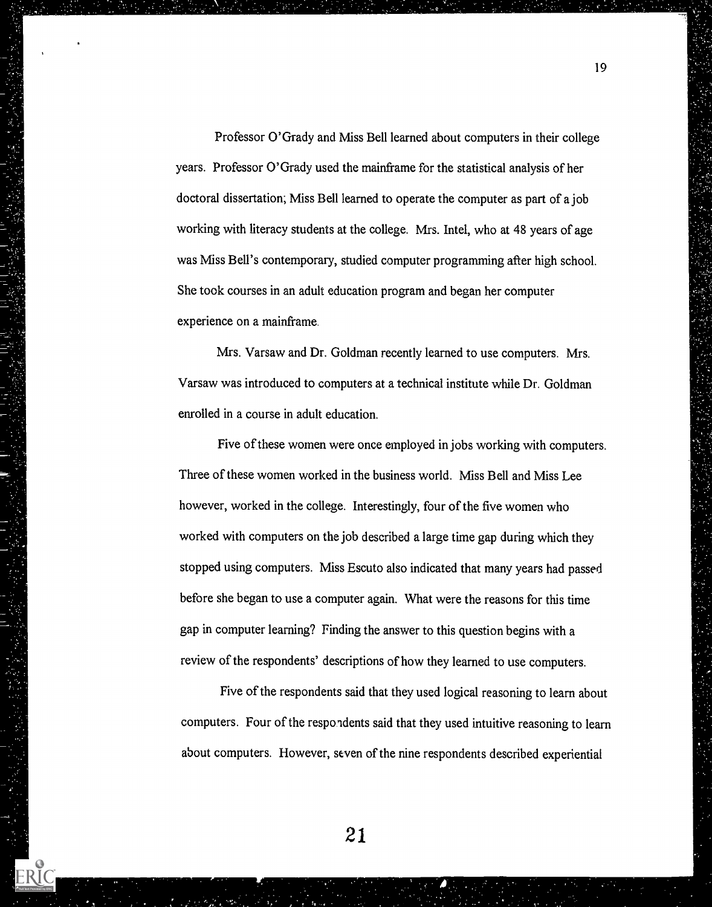Professor O'Grady and Miss Bell learned about computers in their college years. Professor O'Grady used the mainframe for the statistical analysis of her doctoral dissertation; Miss Bell learned to operate the computer as part of a job working with literacy students at the college. Mrs. Intel, who at 48 years of age was Miss Bell's contemporary, studied computer programming after high school. She took courses in an adult education program and began her computer experience on a mainframe.

Mrs. Varsaw and Dr. Goldman recently learned to use computers. Mrs. Varsaw was introduced to computers at a technical institute while Dr. Goldman enrolled in a course in adult education.

Five of these women were once employed in jobs working with computers. Three of these women worked in the business world. Miss Bell and Miss Lee however, worked in the college. Interestingly, four of the five women who worked with computers on the job described a large time gap during which they stopped using computers. Miss Escuto also indicated that many years had passed before she began to use a computer again. What were the reasons for this time gap in computer learning? Finding the answer to this question begins with a review of the respondents' descriptions of how they learned to use computers.

Five of the respondents said that they used logical reasoning to learn about computers. Four of the respondents said that they used intuitive reasoning to learn about computers. However, seven of the nine respondents described experiential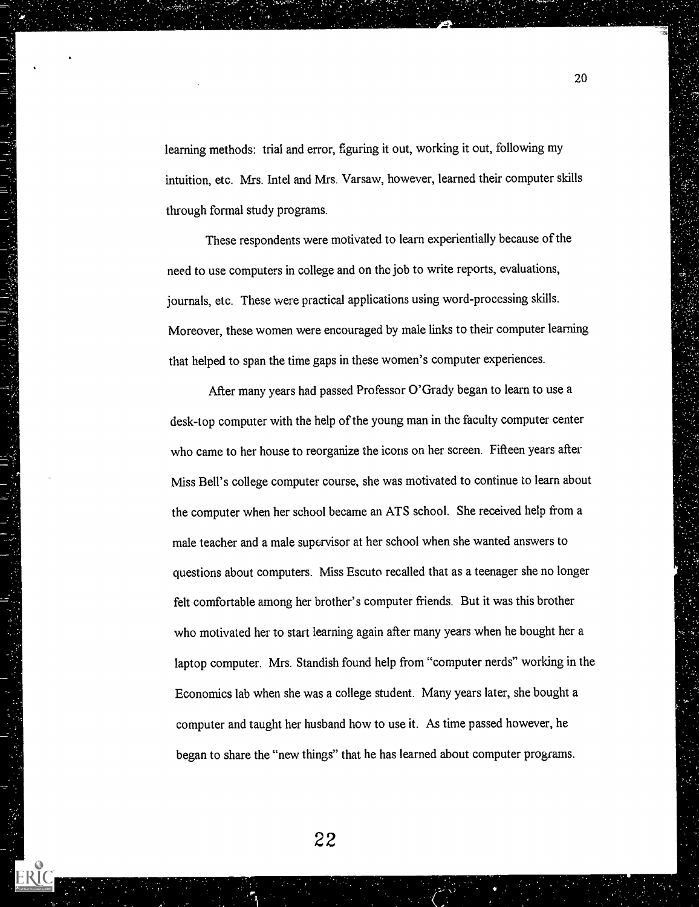learning methods: trial and error, figuring it out, working it out, following my intuition, etc. Mrs. Intel and Mrs. Varsaw, however, learned their computer skills through formal study programs.

These respondents were motivated to learn experientially because of the need to use computers in college and on the job to write reports, evaluations, journals, etc. These were practical applications using word-processing skills. Moreover, these women were encouraged by male links to their computer learning that helped to span the time gaps in these women's computer experiences.

After many years had passed Professor O'Grady began to learn to use a desk-top computer with the help of the young man in the faculty computer center who came to her house to reorganize the icons on her screen. Fifteen years after Miss Bell's college computer course, she was motivated to continue to learn about the computer when her school became an ATS school. She received help from a male teacher and a male supervisor at her school when she wanted answers to questions about computers. Miss Escuto recalled that as a teenager she no longer felt comfortable among her brother's computer friends. But it was this brother who motivated her to start learning again after many years when he bought her a laptop computer. Mrs. Standish found help from "computer nerds" working in the Economics lab when she was a college student. Many years later, she bought a computer and taught her husband how to use it. As time passed however, he began to share the "new things" that he has learned about computer programs.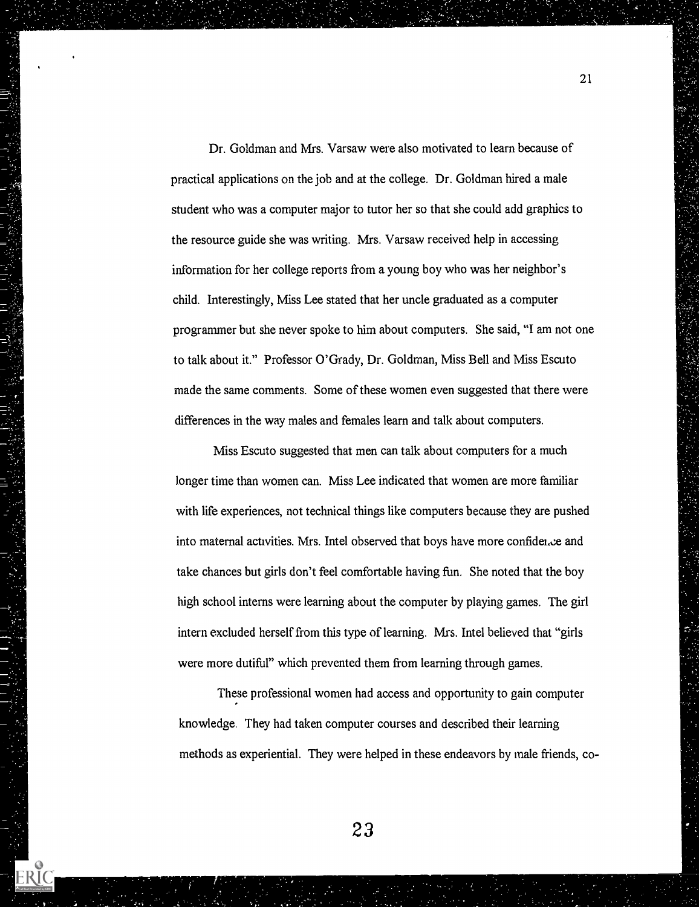Dr. Goldman and Mrs. Varsaw were also motivated to learn because of practical applications on the job and at the college. Dr. Goldman hired a male student who was a computer major to tutor her so that she could add graphics to the resource guide she was writing. Mrs. Varsaw received help in accessing information for her college reports from a young boy who was her neighbor's child. Interestingly, Miss Lee stated that her uncle graduated as a computer programmer but she never spoke to him about computers. She said, "I am not one to talk about it." Professor O'Grady, Dr. Goldman, Miss Bell and Miss Escuto made the same comments. Some of these women even suggested that there were differences in the way males and females learn and talk about computers.

Miss Escuto suggested that men can talk about computers for a much longer time than women can. Miss Lee indicated that women are more familiar with life experiences, not technical things like computers because they are pushed into maternal activities. Mrs. Intel observed that boys have more confidence and take chances but girls don't feel comfortable having fun. She noted that the boy high school interns were learning about the computer by playing games. The girl intern excluded herself from this type of learning. Mrs. Intel believed that "girls were more dutiful" which prevented them from learning through games.

These professional women had access and opportunity to gain computer knowledge. They had taken computer courses and described their learning methods as experiential. They were helped in these endeavors by male friends, co-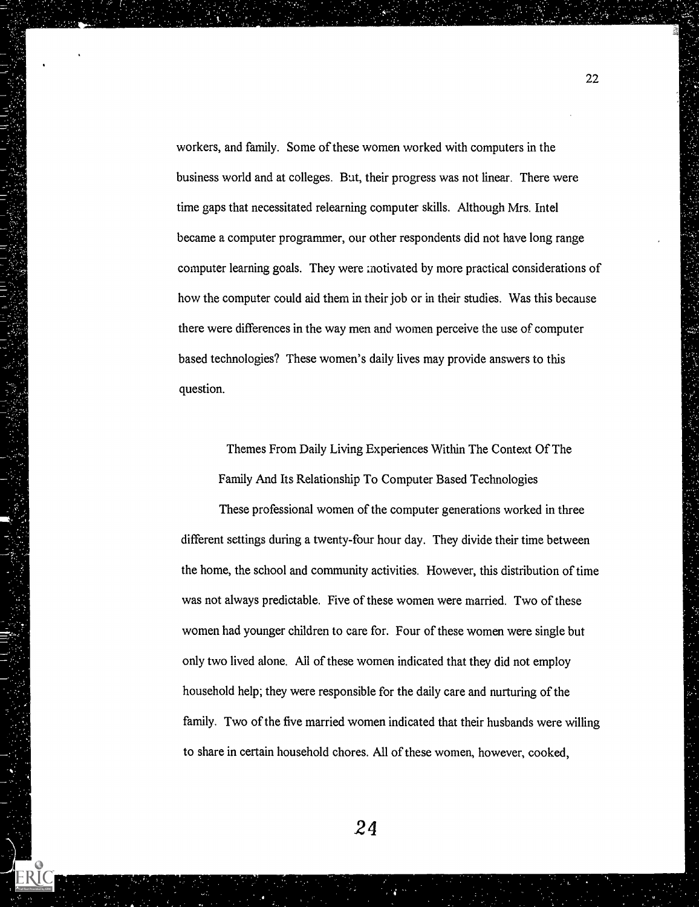workers, and family. Some of these women worked with computers in the business world and at colleges. But, their progress was not linear. There were time gaps that necessitated relearning computer skills. Although Mrs. Intel became a computer programmer, our other respondents did not have long range computer learning goals. They were :notivated by more practical considerations of how the computer could aid them in their job or in their studies. Was this because there were differences in the way men and women perceive the use of computer based technologies? These women's daily lives may provide answers to this question.

Themes From Daily Living Experiences Within The Context Of The Family And Its Relationship To Computer Based Technologies

These professional women of the computer generations worked in three different settings during a twenty-four hour day. They divide their time between the home, the school and community activities. However, this distribution of time was not always predictable. Five of these women were married. Two of these women had younger children to care for. Four of these women were single but only two lived alone. All of these women indicated that they did not employ household help; they were responsible for the daily care and nurturing of the family. Two of the five married women indicated that their husbands were willing to share in certain household chores. All of these women, however, cooked,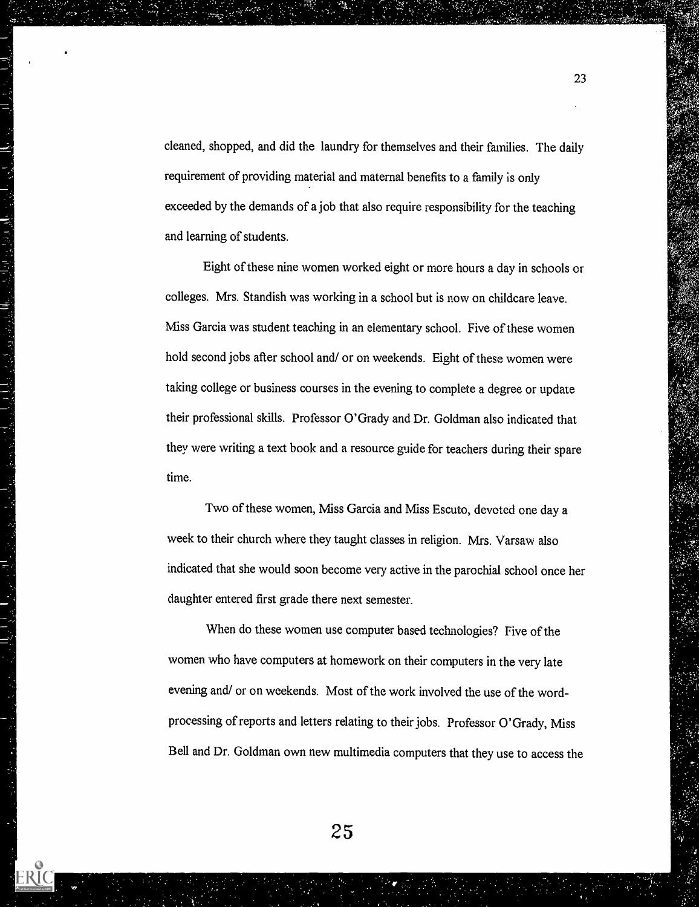cleaned, shopped, and did the laundry for themselves and their families. The daily requirement of providing material and maternal benefits to a family is only exceeded by the demands of a job that also require responsibility for the teaching and learning of students.

Eight of these nine women worked eight or more hours a day in schools or colleges. Mrs. Standish was working in a school but is now on childcare leave. Miss Garcia was student teaching in an elementary school. Five of these women hold second jobs after school and/ or on weekends. Eight of these women were taking college or business courses in the evening to complete a degree or update their professional skills. Professor O'Grady and Dr. Goldman also indicated that they were writing a text book and a resource guide for teachers during their spare time.

Two of these women, Miss Garcia and Miss Escuto, devoted one day a week to their church where they taught classes in religion. Mrs. Varsaw also indicated that she would soon become very active in the parochial school once her daughter entered first grade there next semester.

When do these women use computer based technologies? Five of the women who have computers at homework on their computers in the very late evening and/ or on weekends. Most of the work involved the use of the wordprocessing of reports and letters relating to their jobs. Professor O'Grady, Miss Bell and Dr. Goldman own new multimedia computers that they use to access the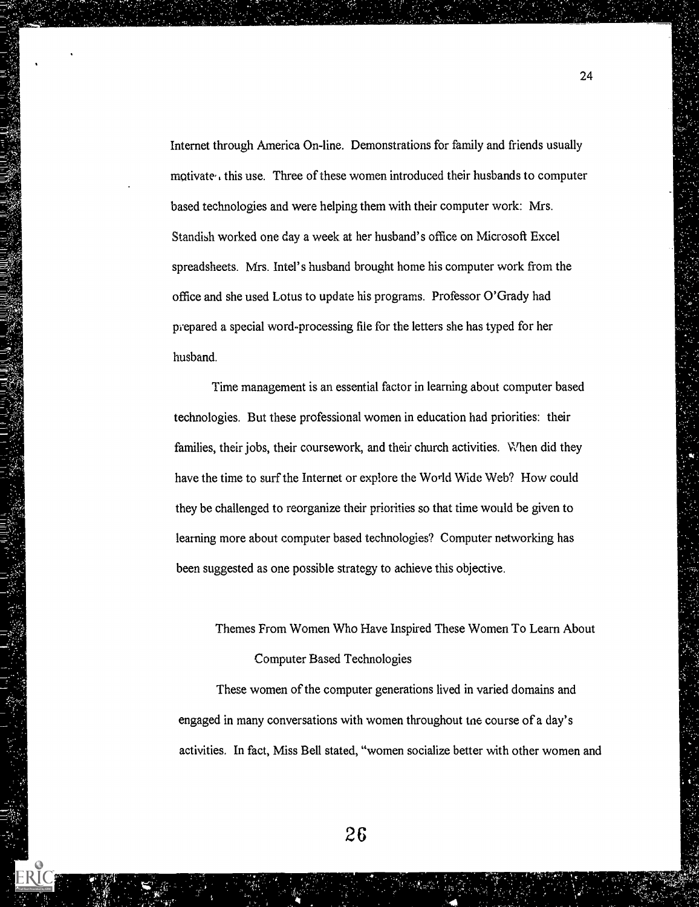Internet through America On-line. Demonstrations for family and friends usually motivate, this use. Three of these women introduced their husbands to computer based technologies and were helping them with their computer work: Mrs. Standish worked one day a week at her husband's office on Microsoft Excel spreadsheets. Mrs. Intel's husband brought home his computer work from the office and she used Lotus to update his programs. Professor O'Grady had prepared a special word-processing file for the letters she has typed for her husband.

Time management is an essential factor in learning about computer based technologies. But these professional women in education had priorities: their families, their jobs, their coursework, and their church activities. When did they have the time to surf the Internet or explore the World Wide Web? How could they be challenged to reorganize their priorities so that time would be given to learning more about computer based technologies? Computer networking has been suggested as one possible strategy to achieve this objective.

# Themes From Women Who Have Inspired These Women To Learn About Computer Based Technologies

These women of the computer generations lived in varied domains and engaged in many conversations with women throughout tne course of a day's activities. In fact, Miss Bell stated, "women socialize better with other women and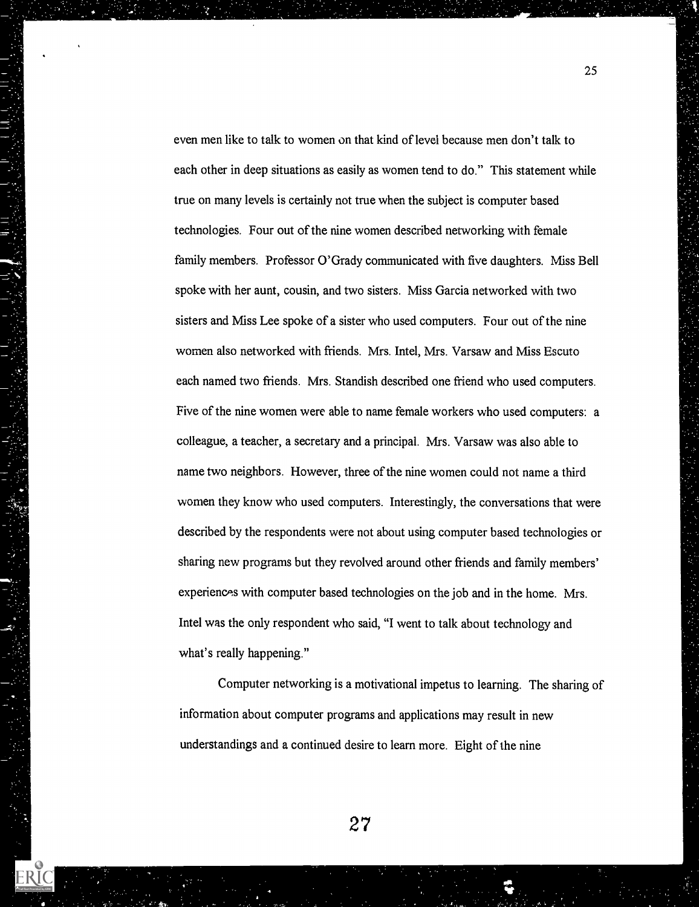even men like to talk to women on that kind of level because men don't talk to each other in deep situations as easily as women tend to do." This statement while true on many levels is certainly not true when the subject is computer based technologies. Four out of the nine women described networking with female family members. Professor O'Grady communicated with five daughters. Miss Bell spoke with her aunt, cousin, and two sisters. Miss Garcia networked with two sisters and Miss Lee spoke of a sister who used computers. Four out of the nine women also networked with friends. Mrs. Intel, Mrs. Varsaw and Miss Escuto each named two friends. Mrs. Standish described one friend who used computers. Five of the nine women were able to name female workers who used computers: a colleague, a teacher, a secretary and a principal. Mrs. Varsaw was also able to name two neighbors. However, three of the nine women could not name a third women they know who used computers. Interestingly, the conversations that were described by the respondents were not about using computer based technologies or sharing new programs but they revolved around other friends and family members' experiences with computer based technologies on the job and in the home. Mrs. Intel was the only respondent who said, "I went to talk about technology and what's really happening."

25

Computer networking is a motivational impetus to learning. The sharing of information about computer programs and applications may result in new understandings and a continued desire to learn more. Eight of the nine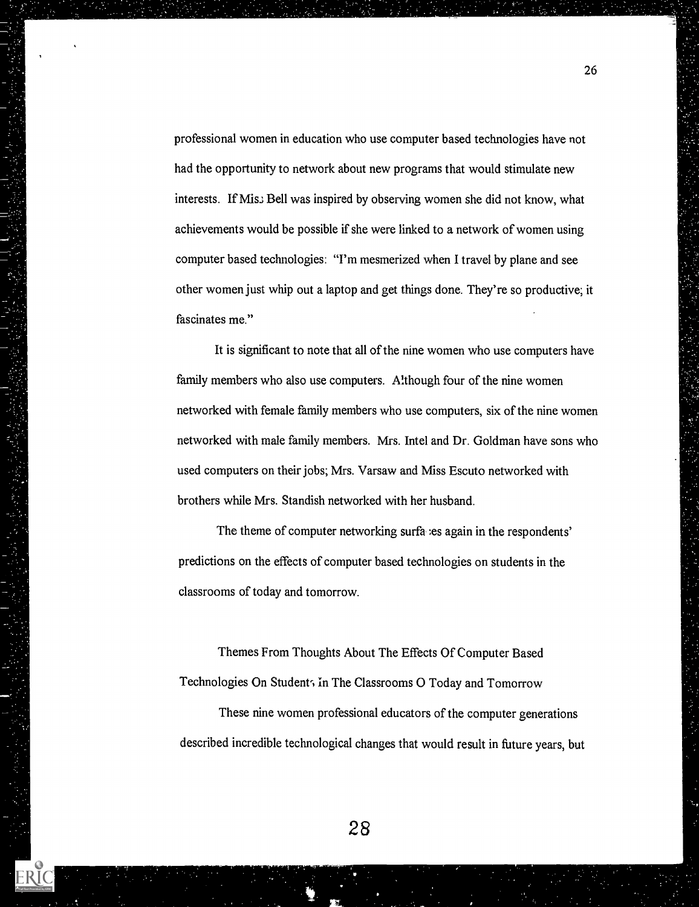professional women in education who use computer based technologies have not had the opportunity to network about new programs that would stimulate new interests. If Mis. Bell was inspired by observing women she did not know, what achievements would be possible if she were linked to a network of women using computer based technologies: "I'm mesmerized when I travel by plane and see other women just whip out a laptop and get things done. They're so productive; it fascinates me."

It is significant to note that all of the nine women who use computers have family members who also use computers. Although four of the nine women networked with female family members who use computers, six of the nine women networked with male family members. Mrs. Intel and Dr. Goldman have sons who used computers on their jobs; Mrs. Varsaw and Miss Escuto networked with brothers while Mrs. Standish networked with her husband.

The theme of computer networking surfa :es again in the respondents' predictions on the effects of computer based technologies on students in the classrooms of today and tomorrow.

Themes From Thoughts About The Effects Of Computer Based Technologies On Student, in The Classrooms O Today and Tomorrow

These nine women professional educators of the computer generations described incredible technological changes that would result in future years, but

26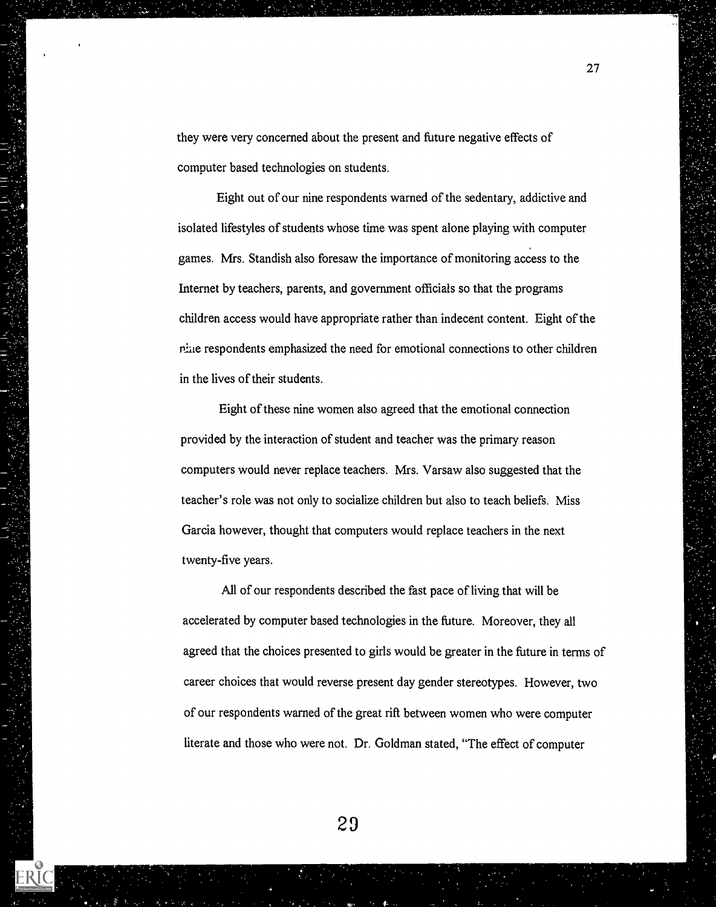they were very concerned about the present and future negative effects of computer based technologies on students.

27

Eight out of our nine respondents warned of the sedentary, addictive and isolated lifestyles of students whose time was spent alone playing with computer games. Mrs. Standish also foresaw the importance of monitoring access to the Internet by teachers, parents, and government officials so that the programs children access would have appropriate rather than indecent content. Eight of the rine respondents emphasized the need for emotional connections to other children in the lives of their students.

Eight of these nine women also agreed that the emotional connection provided by the interaction of student and teacher was the primary reason computers would never replace teachers. Mrs. Varsaw also suggested that the teacher's role was not only to socialize children but also to teach beliefs. Miss Garcia however, thought that computers would replace teachers in the next twenty-five years.

All of our respondents described the fast pace of living that will be accelerated by computer based technologies in the future. Moreover, they all agreed that the choices presented to girls would be greater in the future in terms of career choices that would reverse present day gender stereotypes. However, two of our respondents warned of the great rift between women who were computer literate and those who were not. Dr. Goldman stated, "The effect of computer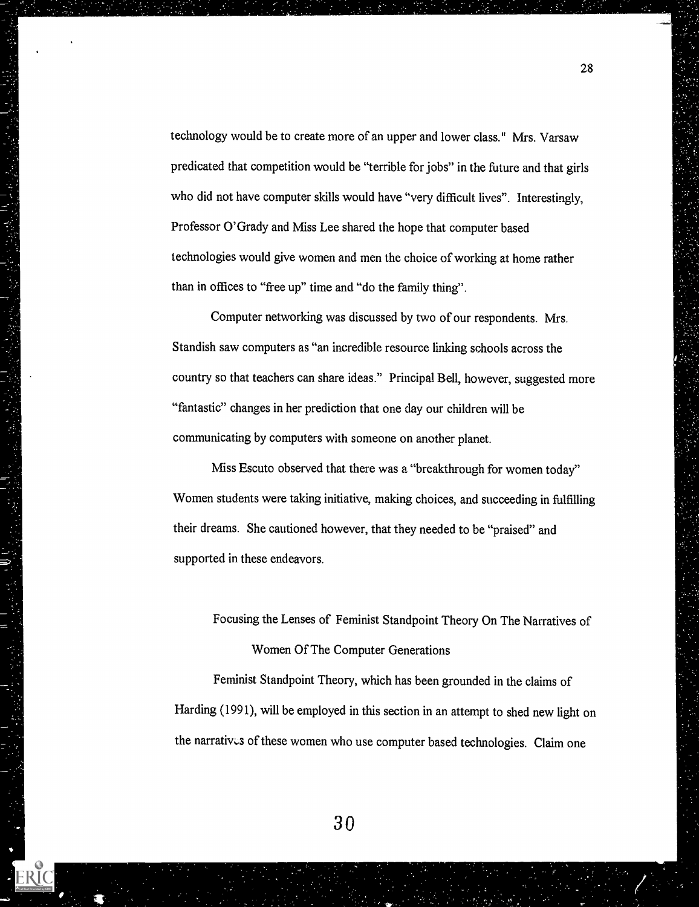technology would be to create more of an upper and lower class." Mrs. Varsaw predicated that competition would be "terrible for jobs" in the future and that girls who did not have computer skills would have "very difficult lives". Interestingly, Professor O'Grady and Miss Lee shared the hope that computer based technologies would give women and men the choice of working at home rather than in offices to "free up" time and "do the family thing".

Computer networking was discussed by two of our respondents. Mrs. Standish saw computers as "an incredible resource linking schools across the country so that teachers can share ideas." Principal Bell, however, suggested more "fantastic" changes in her prediction that one day our children will be communicating by computers with someone on another planet.

Miss Escuto observed that there was a "breakthrough for women today" Women students were taking initiative, making choices, and succeeding in fulfilling their dreams. She cautioned however, that they needed to be "praised" and supported in these endeavors.

Focusing the Lenses of Feminist Standpoint Theory On The Narratives of Women Of The Computer Generations

Feminist Standpoint Theory, which has been grounded in the claims of Harding (1991), will be employed in this section in an attempt to shed new light on the narratives of these women who use computer based technologies. Claim one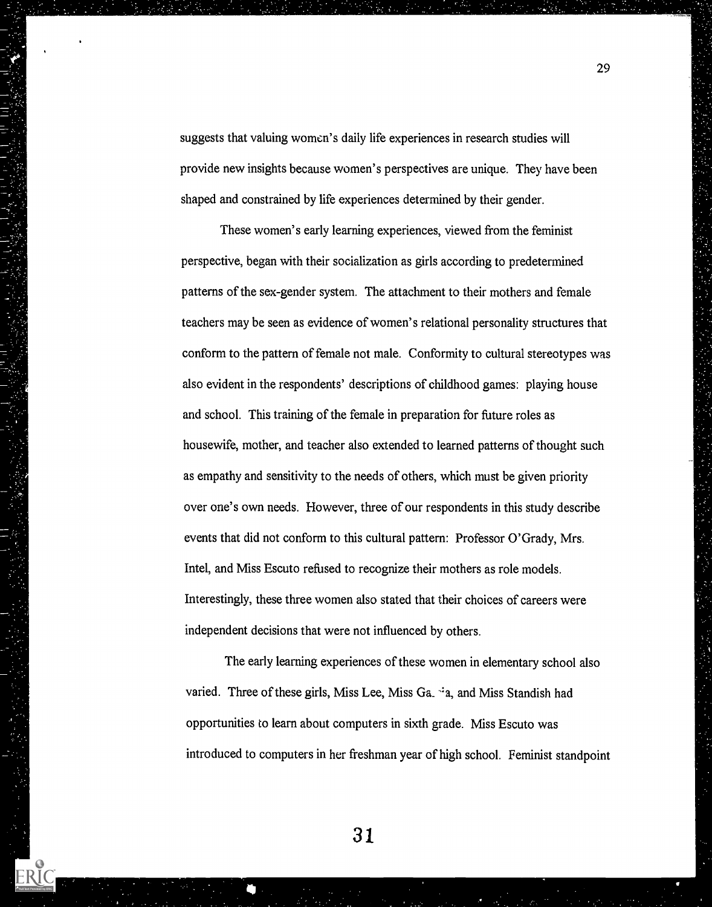suggests that valuing women's daily life experiences in research studies will provide new insights because women's perspectives are unique. They have been shaped and constrained by life experiences determined by their gender.

These women's early learning experiences, viewed from the feminist perspective, began with their socialization as girls according to predetermined patterns of the sex-gender system. The attachment to their mothers and female teachers may be seen as evidence of women's relational personality structures that conform to the pattern of female not male. Conformity to cultural stereotypes was also evident in the respondents' descriptions of childhood games: playing house and school. This training of the female in preparation for future roles as housewife, mother, and teacher also extended to learned patterns of thought such as empathy and sensitivity to the needs of others, which must be given priority over one's own needs. However, three of our respondents in this study describe events that did not conform to this cultural pattern: Professor O'Grady, Mrs. Intel, and Miss Escuto refused to recognize their mothers as role models. Interestingly, these three women also stated that their choices of careers were independent decisions that were not influenced by others.

The early learning experiences of these women in elementary school also varied. Three of these girls, Miss Lee, Miss Ga.  $\cdot$ a, and Miss Standish had opportunities to learn about computers in sixth grade. Miss Escuto was introduced to computers in her freshman year of high school. Feminist standpoint

31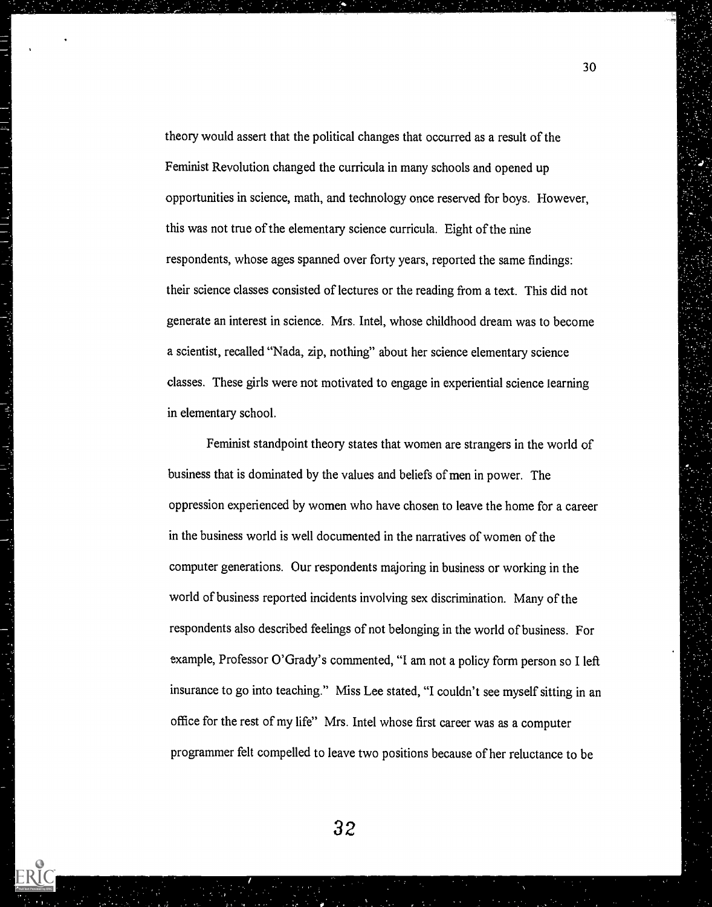theory would assert that the political changes that occurred as a result of the Feminist Revolution changed the curricula in many schools and opened up opportunities in science, math, and technology once reserved for boys. However, this was not true of the elementary science curricula. Eight of the nine respondents, whose ages spanned over forty years, reported the same findings: their science classes consisted of lectures or the reading from a text. This did not generate an interest in science. Mrs. Intel, whose childhood dream was to become a scientist, recalled "Nada, zip, nothing" about her science elementary science classes. These girls were not motivated to engage in experiential science learning in elementary school.

Feminist standpoint theory states that women are strangers in the world of business that is dominated by the values and beliefs of men in power. The oppression experienced by women who have chosen to leave the home for a career in the business world is well documented in the narratives of women of the computer generations. Our respondents majoring in business or working in the world of business reported incidents involving sex discrimination. Many of the respondents also described feelings of not belonging in the world of business. For example, Professor O'Grady's commented, "I am not a policy form person so I left insurance to go into teaching." Miss Lee stated, "I couldn't see myself sitting in an office for the rest of my life" Mrs. Intel whose first career was as a computer programmer felt compelled to leave two positions because of her reluctance to be

30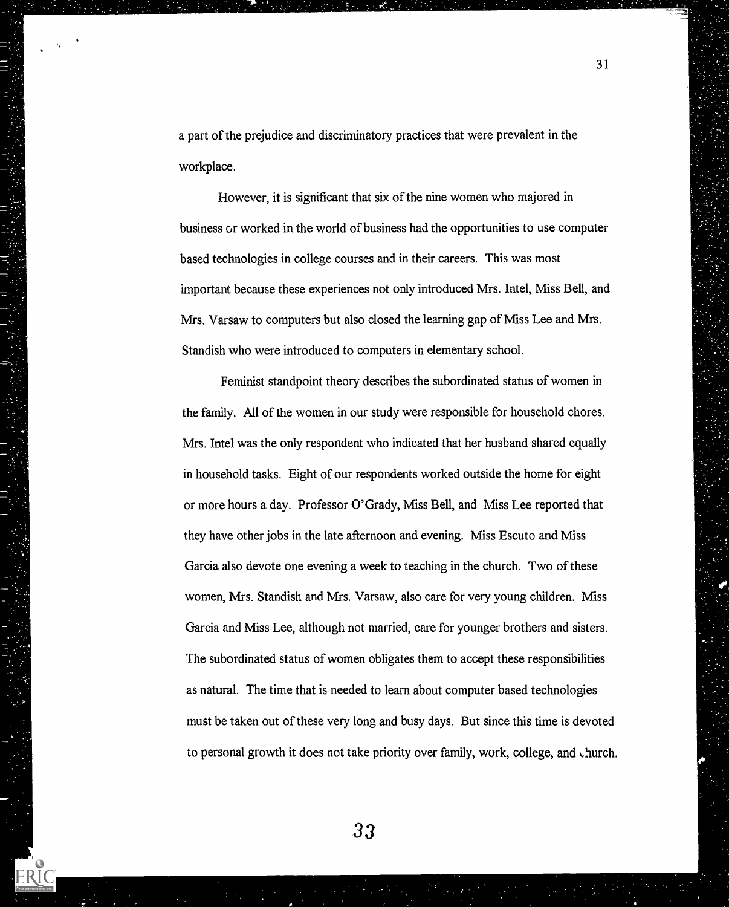a part of the prejudice and discriminatory practices that were prevalent in the workplace.

31

However, it is significant that six of the nine women who majored in business or worked in the world of business had the opportunities to use computer based technologies in college courses and in their careers. This was most important because these experiences not only introduced Mrs. Intel, Miss Bell, and Mrs. Varsaw to computers but also closed the learning gap of Miss Lee and Mrs. Standish who were introduced to computers in elementary school.

Feminist standpoint theory describes the subordinated status of women in the family. All of the women in our study were responsible for household chores. Mrs. Intel was the only respondent who indicated that her husband shared equally in household tasks. Eight of our respondents worked outside the home for eight or more hours a day. Professor O'Grady, Miss Bell, and Miss Lee reported that they have other jobs in the late afternoon and evening. Miss Escuto and Miss Garcia also devote one evening a week to teaching in the church. Two of these women, Mrs. Standish and Mrs. Varsaw, also care for very young children. Miss Garcia and Miss Lee, although not married, care for younger brothers and sisters. The subordinated status of women obligates them to accept these responsibilities as natural. The time that is needed to learn about computer based technologies must be taken out of these very long and busy days. But since this time is devoted to personal growth it does not take priority over family, work, college, and church.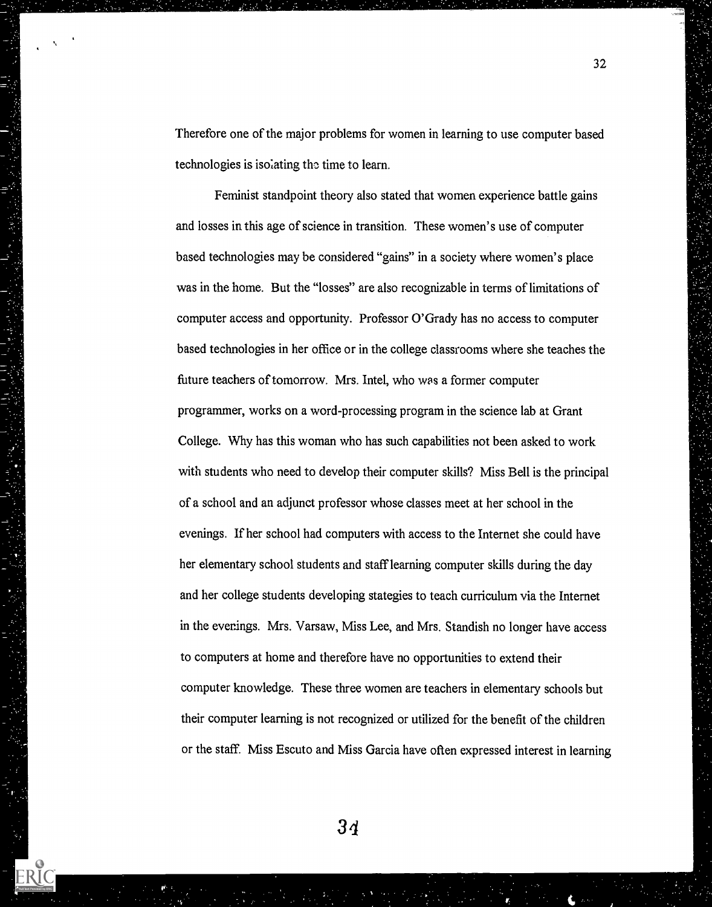Therefore one of the major problems for women in learning to use computer based technologies is isolating the time to learn.

Feminist standpoint theory also stated that women experience battle gains and losses in this age of science in transition. These women's use of computer based technologies may be considered "gains" in a society where women's place was in the home. But the "losses" are also recognizable in terms of limitations of computer access and opportunity. Professor O'Grady has no access to computer based technologies in her office or in the college classrooms where she teaches the future teachers of tomorrow. Mrs. Intel, who was a former computer programmer, works on a word-processing program in the science lab at Grant College. Why has this woman who has such capabilities not been asked to work with students who need to develop their computer skills? Miss Bell is the principal of a school and an adjunct professor whose classes meet at her school in the evenings. If her school had computers with access to the Internet she could have her elementary school students and staff learning computer skills during the day and her college students developing stategies to teach curriculum via the Internet in the evenings. Mrs. Varsaw, Miss Lee, and Mrs. Standish no longer have access to computers at home and therefore have no opportunities to extend their computer knowledge. These three women are teachers in elementary schools but their computer learning is not recognized or utilized for the benefit of the children or the staff. Miss Escuto and Miss Garcia have often expressed interest in learning

 $3<sub>4</sub>$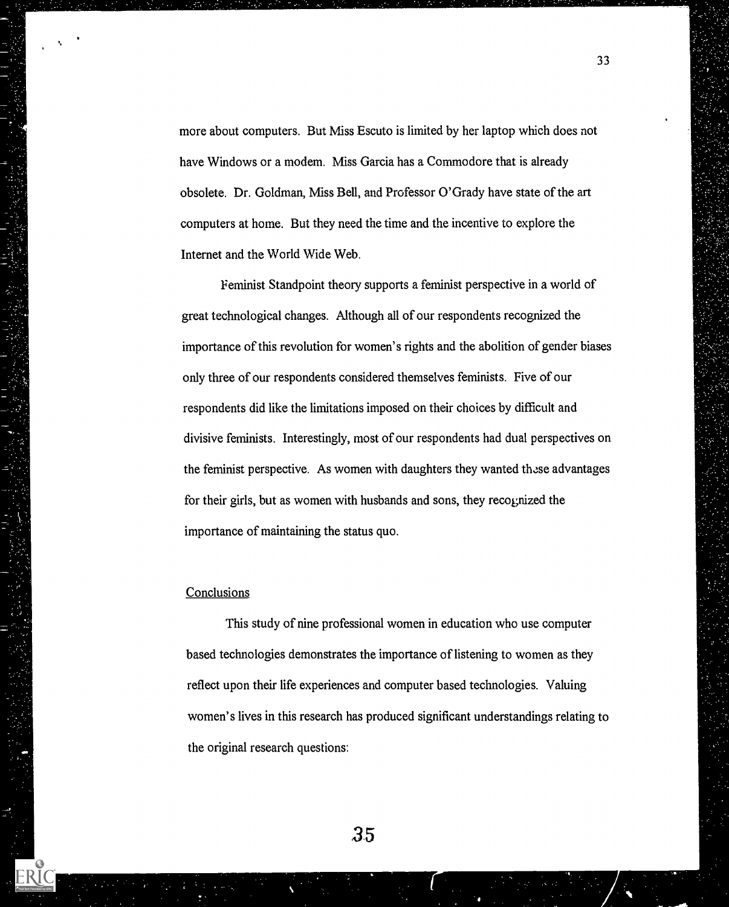more about computers. But Miss Escuto is limited by her laptop which does not have Windows or a modem. Miss Garcia has a Commodore that is already obsolete. Dr. Goldman, Miss Bell, and Professor O'Grady have state of the art computers at home. But they need the time and the incentive to explore the Internet and the World Wide Web.

Feminist Standpoint theory supports a feminist perspective in a world of great technological changes. Although all of our respondents recognized the importance of this revolution for women's rights and the abolition of gender biases only three of our respondents considered themselves feminists. Five of our respondents did like the limitations imposed on their choices by difficult and divisive feminists. Interestingly, most of our respondents had dual perspectives on the feminist perspective. As women with daughters they wanted these advantages for their girls, but as women with husbands and sons, they recognized the importance of maintaining the status quo.

# **Conclusions**

This study of nine professional women in education who use computer based technologies demonstrates the importance of listening to women as they reflect upon their life experiences and computer based technologies. Valuing women's lives in this research has produced significant understandings relating to the original research questions: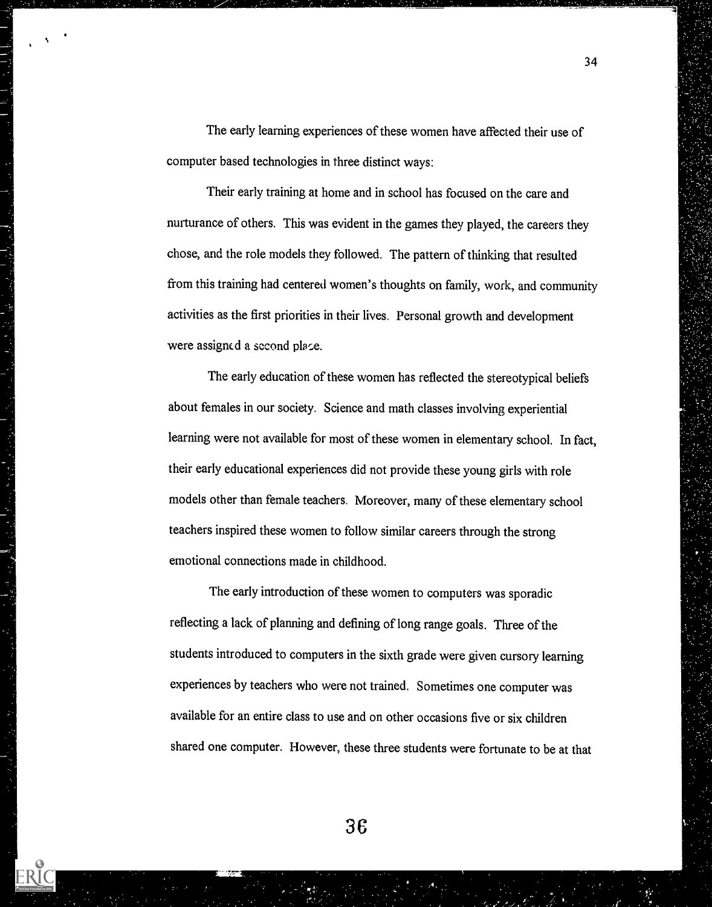The early learning experiences of these women have affected their use of computer based technologies in three distinct ways:

Their early training at home and in school has focused on the care and nurturance of others. This was evident in the games they played, the careers they chose, and the role models they followed. The pattern of thinking that resulted from this training had centered women's thoughts on family, work, and community activities as the first priorities in their lives. Personal growth and development were assigned a second place.

The early education of these women has reflected the stereotypical beliefs about females in our society. Science and math classes involving experiential learning were not available for most of these women in elementary school. In fact, their early educational experiences did not provide these young girls with role models other than female teachers. Moreover, many of these elementary school teachers inspired these women to follow similar careers through the strong emotional connections made in childhood.

The early introduction of these women to computers was sporadic reflecting a lack of planning and defining of long range goals. Three of the students introduced to computers in the sixth grade were given cursory learning experiences by teachers who were not trained. Sometimes one computer was available for an entire class to use and on other occasions five or six children shared one computer. However, these three students were fortunate to be at that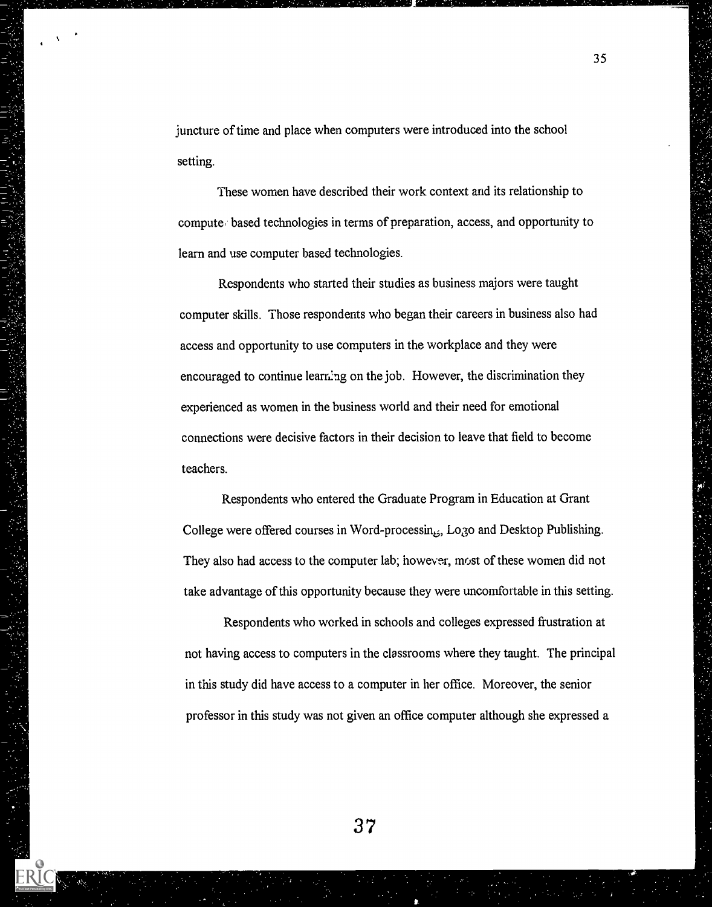juncture of time and place when computers were introduced into the school setting.

These women have described their work context and its relationship to compute based technologies in terms of preparation, access, and opportunity to learn and use computer based technologies.

Respondents who started their studies as business majors were taught computer skills. Those respondents who began their careers in business also had access and opportunity to use computers in the workplace and they were encouraged to continue learning on the job. However, the discrimination they experienced as women in the business world and their need for emotional connections were decisive factors in their decision to leave that field to become teachers.

Respondents who entered the Graduate Program in Education at Grant College were offered courses in Word-processin $_{55}$ , Lo3o and Desktop Publishing. They also had access to the computer lab; however, most of these women did not take advantage of this opportunity because they were uncomfortable in this setting.

Respondents who worked in schools and colleges expressed frustration at not having access to computers in the classrooms where they taught. The principal in this study did have access to a computer in her office. Moreover, the senior professor in this study was not given an office computer although she expressed a

37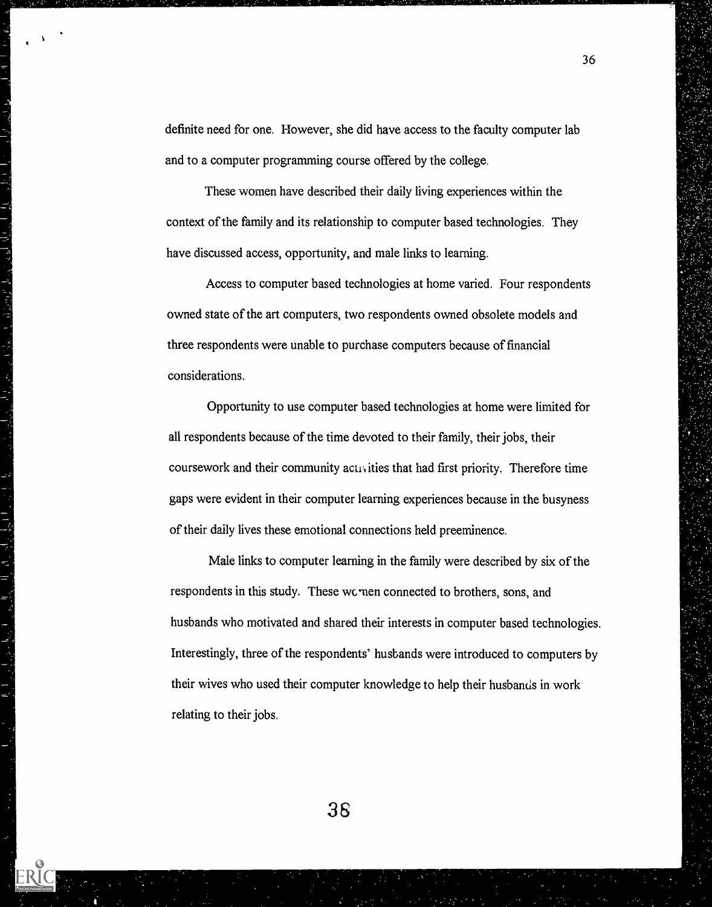definite need for one. However, she did have access to the faculty computer lab and to a computer programming course offered by the college.

These women have described their daily living experiences within the context of the family and its relationship to computer based technologies. They have discussed access, opportunity, and male links to learning.

Access to computer based technologies at home varied. Four respondents owned state of the art computers, two respondents owned obsolete models and three respondents were unable to purchase computers because of financial considerations.

医大脑病 医心理学 医心理学

3

Opportunity to use computer based technologies at home were limited for all respondents because of the time devoted to their family, their jobs, their coursework and their community activities that had first priority. Therefore time gaps were evident in their computer learning experiences because in the busyness of their daily lives these emotional connections held preeminence.

Male links to computer learning in the family were described by six of the respondents in this study. These wcmen connected to brothers, sons, and husbands who motivated and shared their interests in computer based technologies. Interestingly, three of the respondents' husbands were introduced to computers by their wives who used their computer knowledge to help their husbands in work relating to their jobs.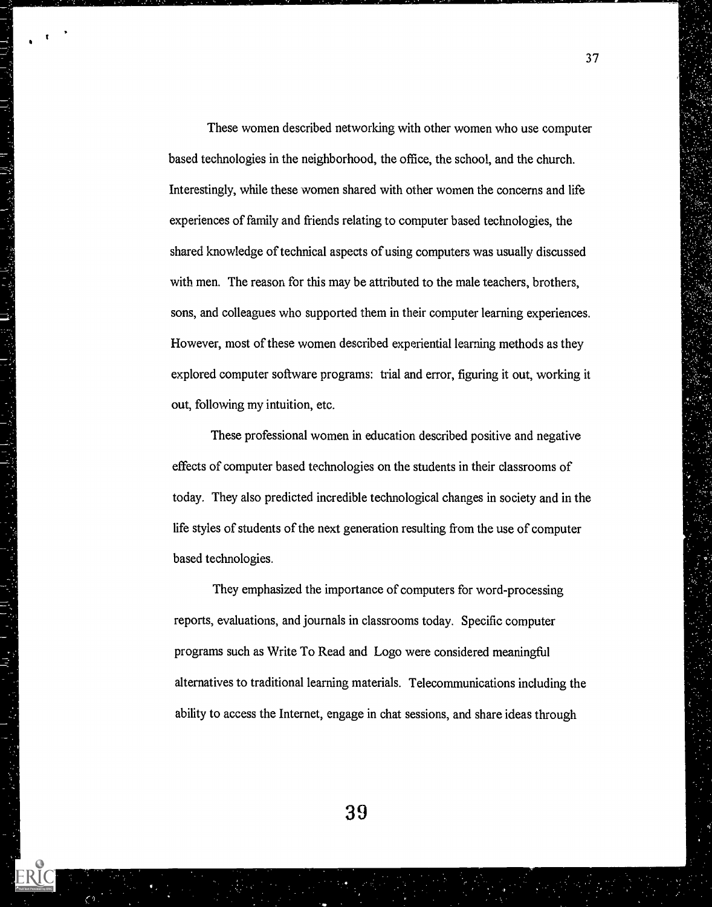These women described networking with other women who use computer based technologies in the neighborhood, the office, the school, and the church. Interestingly, while these women shared with other women the concerns and life experiences of family and friends relating to computer based technologies, the shared knowledge of technical aspects of using computers was usually discussed with men. The reason for this may be attributed to the male teachers, brothers, sons, and colleagues who supported them in their computer learning experiences. However, most of these women described experiential learning methods as they explored computer software programs: trial and error, figuring it out, working it out, following my intuition, etc.

37

..

These professional women in education described positive and negative effects of computer based technologies on the students in their classrooms of today. They also predicted incredible technological changes in society and in the life styles of students of the next generation resulting from the use of computer based technologies.

They emphasized the importance of computers for word-processing reports, evaluations, and journals in classrooms today. Specific computer programs such as Write To Read and Logo were considered meaningful alternatives to traditional learning materials. Telecommunications including the ability to access the Internet, engage in chat sessions, and share ideas through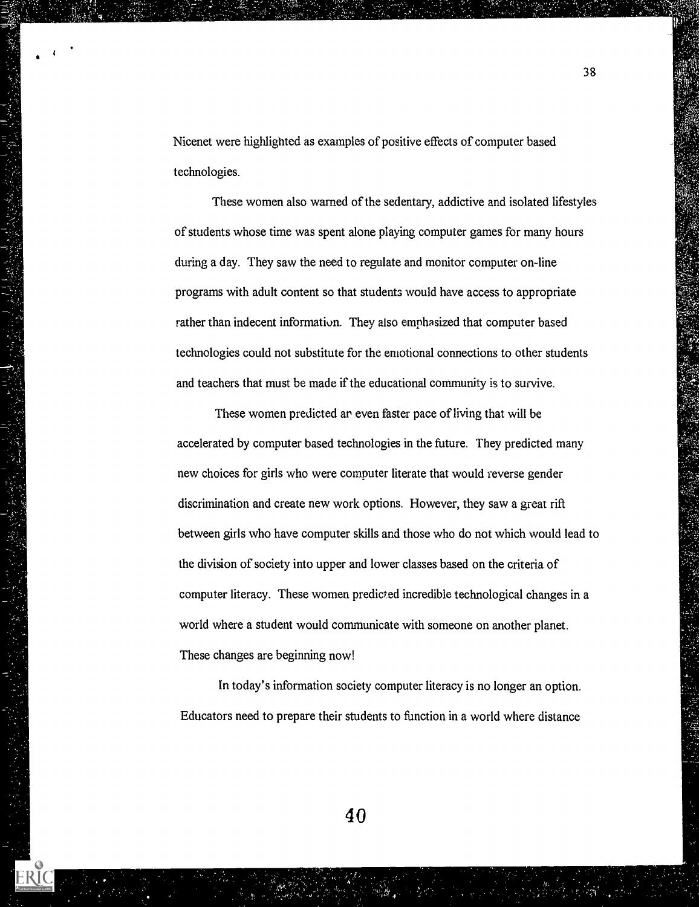Nicenet were highlighted as examples of positive effects of computer based technologies.

 $\mathcal{G}(\mathcal{G})$ 

ERIC

These women also warned of the sedentary, addictive and isolated lifestyles of students whose time was spent alone playing computer games for many hours during a day. They saw the need to regulate and monitor computer on-line programs with adult content so that students would have access to appropriate rather than indecent information. They also emphasized that computer based technologies could not substitute for the emotional connections to other students and teachers that must be made if the educational community is to survive.

These women predicted ar even faster pace of living that will be accelerated by computer based technologies in the future. They predicted many new choices for girls who were computer literate that would reverse gender discrimination and create new work options. However, they saw a great rift between girls who have computer skills and those who do not which would lead to the division of society into upper and lower classes based on the criteria of computer literacy. These women predicted incredible technological changes in a world where a student would communicate with someone on another planet. These changes are beginning now!

In today's information society computer literacy is no longer an option. Educators need to prepare their students to function in a world where distance

38

\_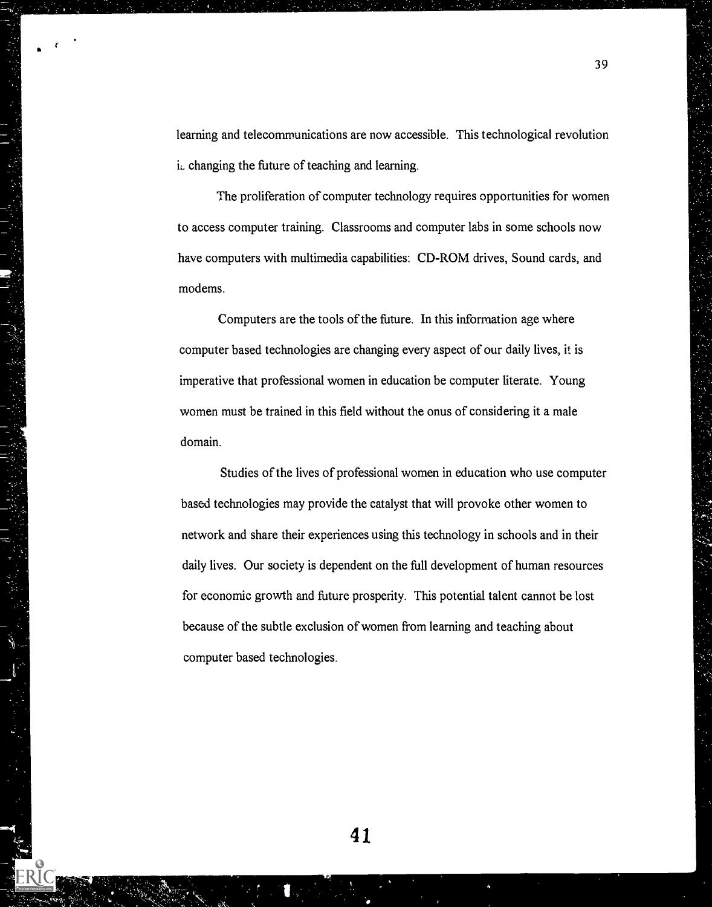learning and telecommunications are now accessible. This technological revolution i. changing the future of teaching and learning.

The proliferation of computer technology requires opportunities for women to access computer training. Classrooms and computer labs in some schools now have computers with multimedia capabilities: CD-ROM drives, Sound cards, and modems.

Computers are the tools of the future. In this information age where computer based technologies are changing every aspect of our daily lives, it is imperative that professional women in education be computer literate. Young women must be trained in this field without the onus of considering it a male domain.

Studies of the lives of professional women in education who use computer based technologies may provide the catalyst that will provoke other women to network and share their experiences using this technology in schools and in their daily lives. Our society is dependent on the full development of human resources for economic growth and future prosperity. This potential talent cannot be lost because of the subtle exclusion of women from learning and teaching about computer based technologies.

39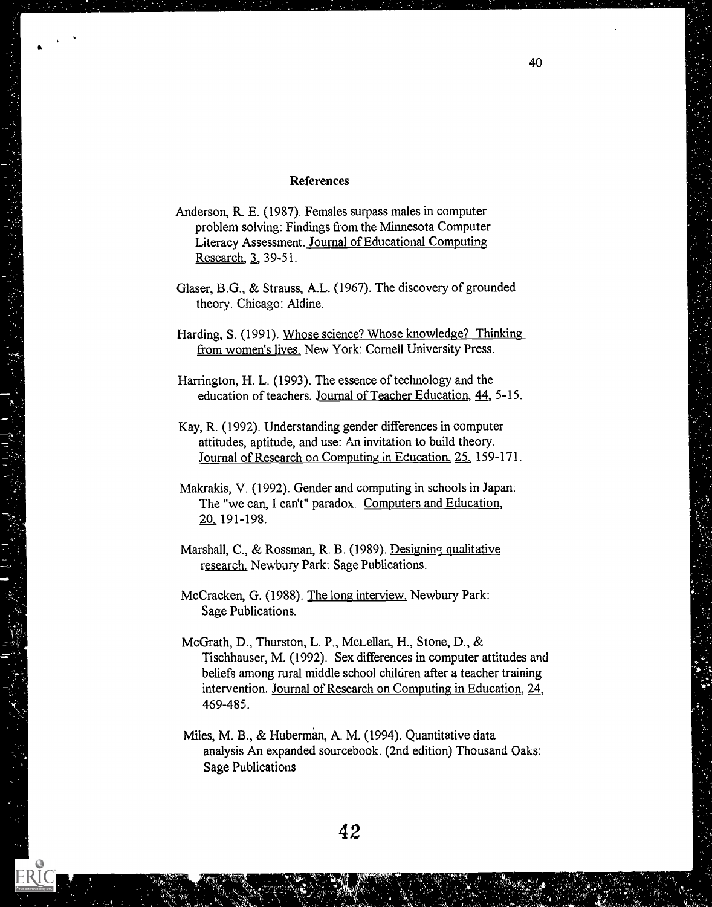# References

- Anderson, R. E. (1987). Females surpass males in computer problem solving: Findings from the Minnesota Computer Literacy Assessment. Journal of Educational Computing Research, 3, 39-51.
- Glaser, B.G., & Strauss, A.L. (1967). The discovery of grounded theory. Chicago: Aldine.
- Harding, S. (1991). Whose science? Whose knowledge? Thinking from women's lives. New York: Cornell University Press.

Harrington, H. L. (1993). The essence of technology and the education of teachers. Journal of Teacher Education, 44, 5-15.

- Kay, R. (1992). Understanding gender differences in computer attitudes, aptitude, and use: An invitation to build theory. Journal of Research on Computing in Ecucation, 25, 159-171.
- Makrakis, V. (1992). Gender and computing in schools in Japan: The "we can, I can't" paradox Computers and Education, 20 191-198.
- Marshall, C., & Rossman, R. B. (1989). Designing, qualitative research. Newbury Park: Sage Publications.
- McCracken, G. (1988). The long interview. Newbury Park: Sage Publications.
- McGrath, D., Thurston, L. P., McLellan, H., Stone, D., & Tischhauser, M. (1992). Sex differences in computer attitudes and beliefs among rural middle school children after a teacher training intervention. Journal of Research on Computing in Education, 24, 469-485.
- Miles, M. B., & Huberman, A. M. (1994). Quantitative data analysis An expanded sourcebook. (2nd edition) Thousand Oaks: Sage Publications

ERIC